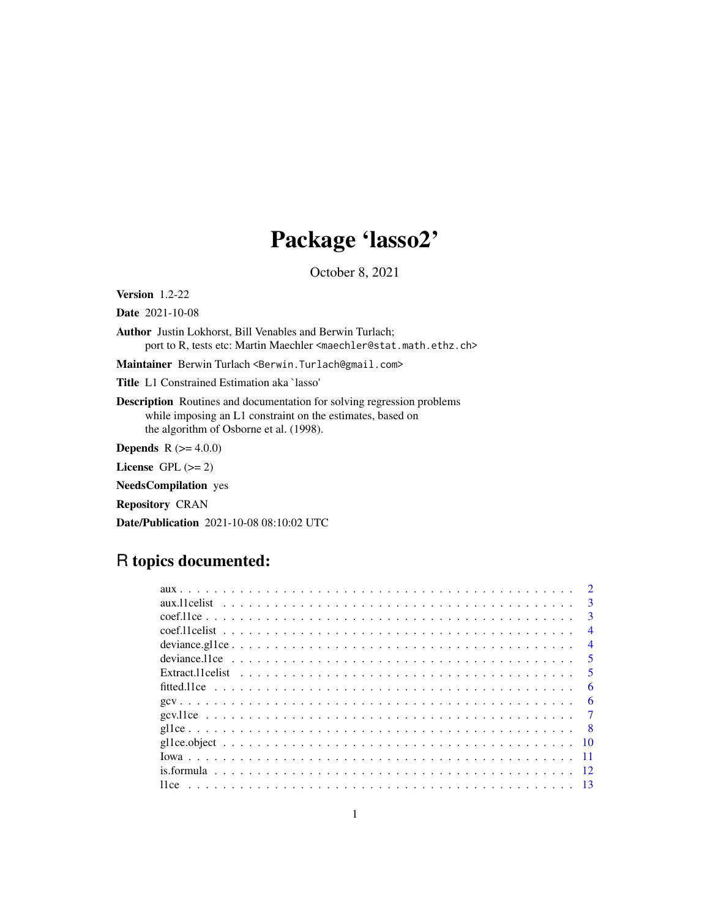# Package 'lasso2'

October 8, 2021

<span id="page-0-0"></span>Version 1.2-22

Date 2021-10-08

Author Justin Lokhorst, Bill Venables and Berwin Turlach; port to R, tests etc: Martin Maechler <maechler@stat.math.ethz.ch>

Maintainer Berwin Turlach <Berwin.Turlach@gmail.com>

Title L1 Constrained Estimation aka `lasso'

Description Routines and documentation for solving regression problems while imposing an L1 constraint on the estimates, based on the algorithm of Osborne et al. (1998).

**Depends** R  $(>= 4.0.0)$ 

License GPL  $(>= 2)$ 

NeedsCompilation yes

Repository CRAN

Date/Publication 2021-10-08 08:10:02 UTC

## R topics documented:

|  | $\mathbf{R}$   |
|--|----------------|
|  | $\mathbf{R}$   |
|  | $\overline{4}$ |
|  | $\overline{4}$ |
|  | -5             |
|  | $\overline{5}$ |
|  | 6              |
|  | -6             |
|  |                |
|  | - 8            |
|  | -10            |
|  |                |
|  |                |
|  |                |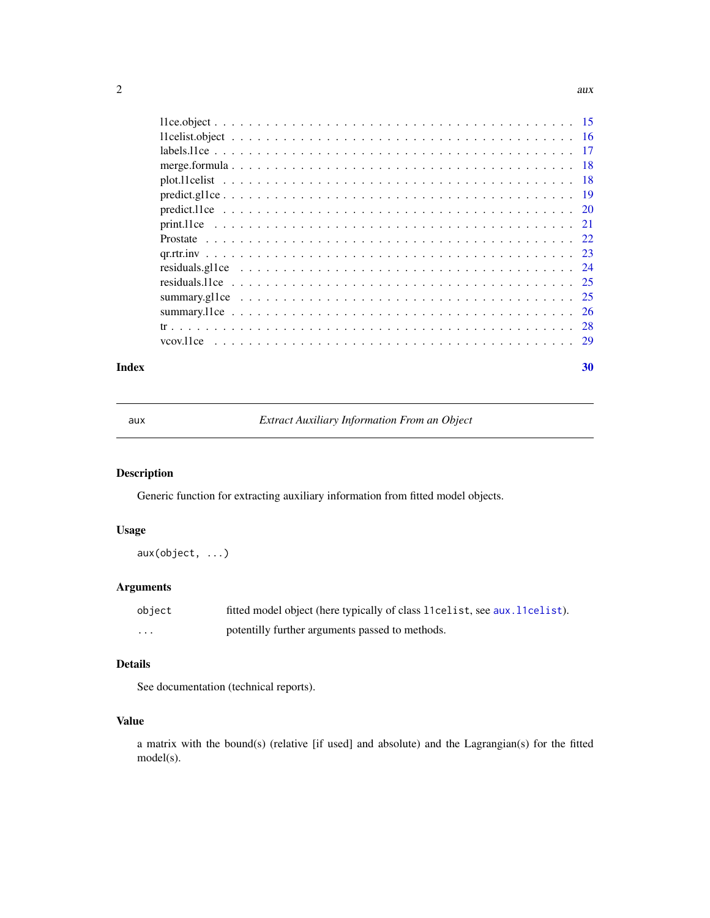#### <span id="page-1-0"></span>2 aux  $\alpha$

#### $\bf 30$  $\bf 30$

<span id="page-1-1"></span>aux *Extract Auxiliary Information From an Object*

## Description

Generic function for extracting auxiliary information from fitted model objects.

## Usage

aux(object, ...)

## Arguments

| object | fitted model object (here typically of class 11 celist, see aux. 11 celist). |
|--------|------------------------------------------------------------------------------|
| .      | potentilly further arguments passed to methods.                              |

## Details

See documentation (technical reports).

## Value

a matrix with the bound(s) (relative [if used] and absolute) and the Lagrangian(s) for the fitted model(s).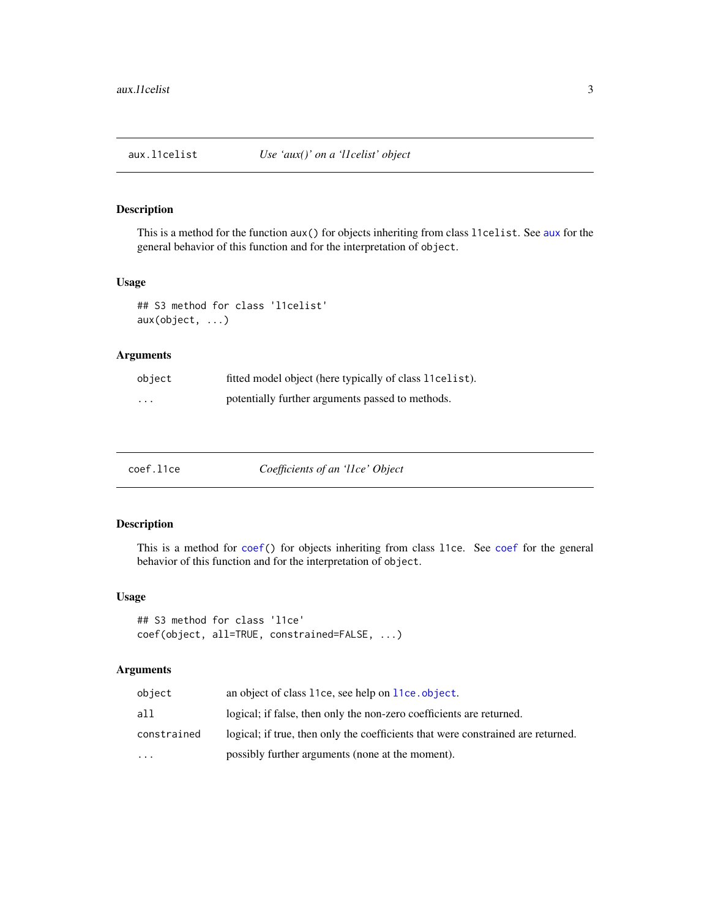<span id="page-2-1"></span><span id="page-2-0"></span>

This is a method for the function aux() for objects inheriting from class l1celist. See [aux](#page-1-1) for the general behavior of this function and for the interpretation of object.

#### Usage

## S3 method for class 'l1celist' aux(object, ...)

## Arguments

| object   | fitted model object (here typically of class 11 cel is t). |
|----------|------------------------------------------------------------|
| $\cdots$ | potentially further arguments passed to methods.           |

| coef.l1ce | Coefficients of an 'llce' Object |  |
|-----------|----------------------------------|--|
|           |                                  |  |

## Description

This is a method for [coef\(](#page-0-0)) for objects inheriting from class l1ce. See [coef](#page-0-0) for the general behavior of this function and for the interpretation of object.

#### Usage

```
## S3 method for class 'l1ce'
coef(object, all=TRUE, constrained=FALSE, ...)
```

| object      | an object of class 11ce, see help on 11ce. object.                               |
|-------------|----------------------------------------------------------------------------------|
| all         | logical; if false, then only the non-zero coefficients are returned.             |
| constrained | logical; if true, then only the coefficients that were constrained are returned. |
| $\ddotsc$   | possibly further arguments (none at the moment).                                 |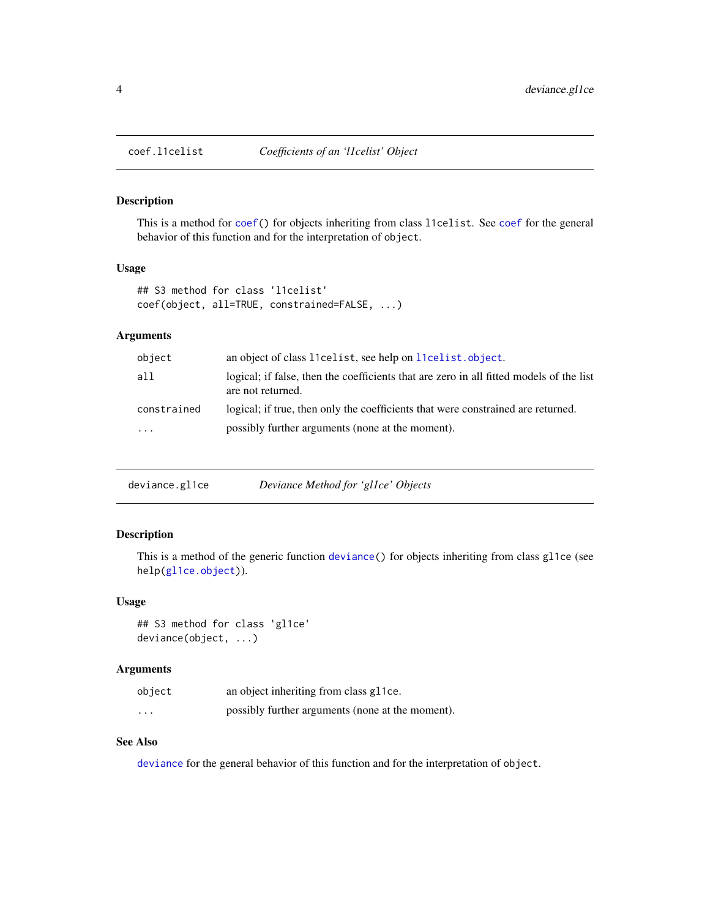<span id="page-3-0"></span>

This is a method for [coef\(](#page-0-0)) for objects inheriting from class l1celist. See [coef](#page-0-0) for the general behavior of this function and for the interpretation of object.

## Usage

```
## S3 method for class 'l1celist'
coef(object, all=TRUE, constrained=FALSE, ...)
```
## Arguments

| object      | an object of class 11 celist, see help on 11 celist. object.                                                 |
|-------------|--------------------------------------------------------------------------------------------------------------|
| all         | logical; if false, then the coefficients that are zero in all fitted models of the list<br>are not returned. |
| constrained | logical; if true, then only the coefficients that were constrained are returned.                             |
| $\cdots$    | possibly further arguments (none at the moment).                                                             |

| deviance.gl1ce | Deviance Method for 'gl1ce' Objects |  |
|----------------|-------------------------------------|--|
|                |                                     |  |

## Description

This is a method of the generic function [deviance\(](#page-0-0)) for objects inheriting from class gl1ce (see help[\(gl1ce.object\)](#page-9-1)).

#### Usage

```
## S3 method for class 'gl1ce'
deviance(object, ...)
```
#### Arguments

| object   | an object inheriting from class gl 1 ce.         |
|----------|--------------------------------------------------|
| $\cdots$ | possibly further arguments (none at the moment). |

## See Also

[deviance](#page-0-0) for the general behavior of this function and for the interpretation of object.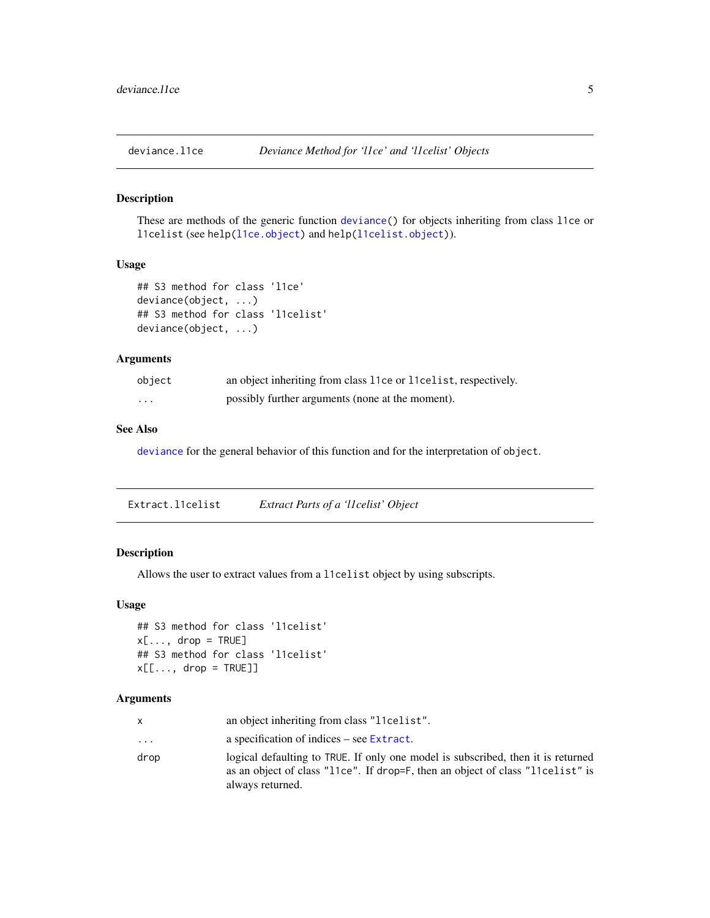<span id="page-4-0"></span>

These are methods of the generic function [deviance\(](#page-0-0)) for objects inheriting from class l1ce or l1celist (see help[\(l1ce.object\)](#page-14-1) and help[\(l1celist.object\)](#page-15-1)).

#### Usage

```
## S3 method for class 'l1ce'
deviance(object, ...)
## S3 method for class 'l1celist'
deviance(object, ...)
```
## Arguments

| object   | an object inheriting from class 11ce or 11 celist, respectively. |
|----------|------------------------------------------------------------------|
| $\cdots$ | possibly further arguments (none at the moment).                 |

## See Also

[deviance](#page-0-0) for the general behavior of this function and for the interpretation of object.

| Extract.l1celist | Extract Parts of a 'llcelist' Object |  |
|------------------|--------------------------------------|--|
|                  |                                      |  |

## Description

Allows the user to extract values from a l1celist object by using subscripts.

#### Usage

```
## S3 method for class 'l1celist'
x[\ldots, drop = TRUE]## S3 method for class 'l1celist'
x[\ldots, drop = TRUE]]
```

| x        | an object inheriting from class "lovelist".                                                                                                                                            |
|----------|----------------------------------------------------------------------------------------------------------------------------------------------------------------------------------------|
| $\cdots$ | a specification of indices – see Extract.                                                                                                                                              |
| drop     | logical defaulting to TRUE. If only one model is subscribed, then it is returned<br>as an object of class "11ce". If drop=F, then an object of class "11celist" is<br>always returned. |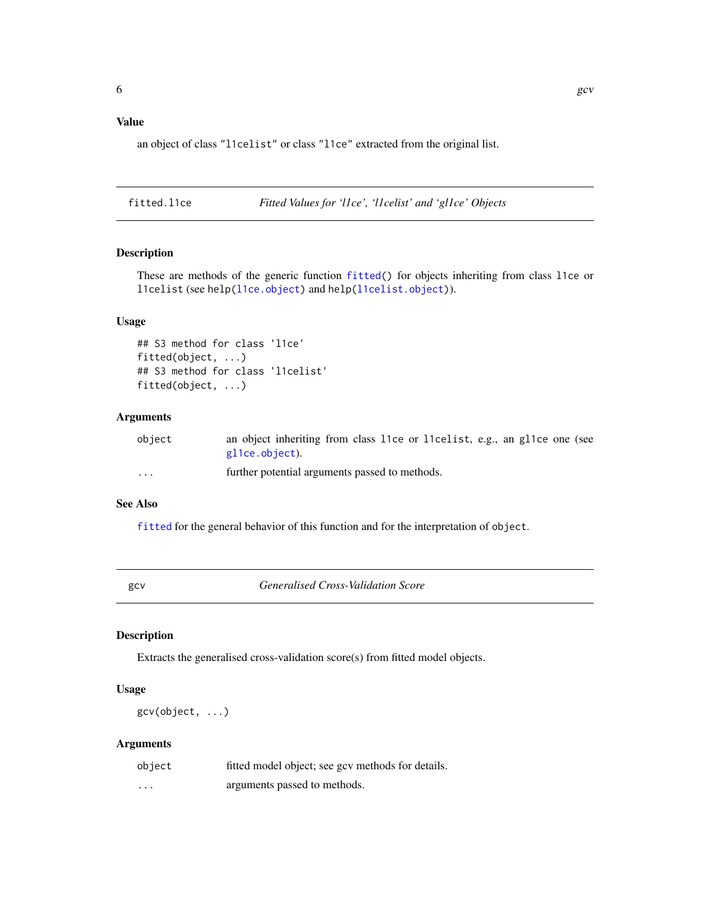## <span id="page-5-0"></span>Value

an object of class "l1celist" or class "l1ce" extracted from the original list.

<span id="page-5-2"></span>fitted.l1ce *Fitted Values for 'l1ce', 'l1celist' and 'gl1ce' Objects*

#### Description

These are methods of the generic function [fitted\(](#page-0-0)) for objects inheriting from class l1ce or l1celist (see help[\(l1ce.object\)](#page-14-1) and help[\(l1celist.object\)](#page-15-1)).

#### Usage

```
## S3 method for class 'l1ce'
fitted(object, ...)
## S3 method for class 'l1celist'
fitted(object, ...)
```
## Arguments

| object                  | an object inheriting from class 11ce or 11 celist, e.g., an gl1ce one (see |
|-------------------------|----------------------------------------------------------------------------|
|                         | glice.object).                                                             |
| $\cdot$ $\cdot$ $\cdot$ | further potential arguments passed to methods.                             |

## See Also

[fitted](#page-0-0) for the general behavior of this function and for the interpretation of object.

<span id="page-5-1"></span>gcv *Generalised Cross-Validation Score*

## Description

Extracts the generalised cross-validation score(s) from fitted model objects.

## Usage

gcv(object, ...)

| object | fitted model object; see gcv methods for details. |
|--------|---------------------------------------------------|
| .      | arguments passed to methods.                      |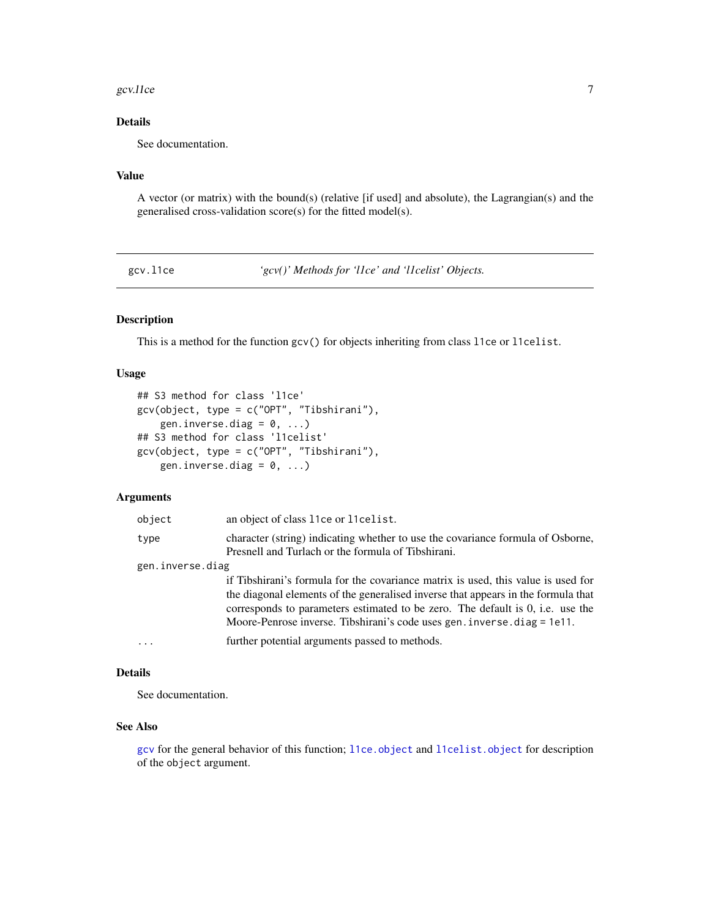#### <span id="page-6-0"></span>gcv.l1ce  $\sim$  7

## Details

See documentation.

## Value

A vector (or matrix) with the bound(s) (relative [if used] and absolute), the Lagrangian(s) and the generalised cross-validation score(s) for the fitted model(s).

gcv.l1ce *'gcv()' Methods for 'l1ce' and 'l1celist' Objects.*

## Description

This is a method for the function gcv() for objects inheriting from class l1ce or l1celist.

#### Usage

```
## S3 method for class 'l1ce'
gcv(object, type = c("OPT", "Tibshirani"),
    gen.inverse.diag = 0, ...)
## S3 method for class 'l1celist'
gcv(object, type = c("OPT", "Tibshirani"),
    gen.inverse.diag = 0, ...)
```
## Arguments

| object           | an object of class 11ce or 11celist.                                                                                                                                                                                                                                                                                                    |
|------------------|-----------------------------------------------------------------------------------------------------------------------------------------------------------------------------------------------------------------------------------------------------------------------------------------------------------------------------------------|
| type             | character (string) indicating whether to use the covariance formula of Osborne,<br>Presnell and Turlach or the formula of Tibshirani.                                                                                                                                                                                                   |
| gen.inverse.diag |                                                                                                                                                                                                                                                                                                                                         |
|                  | if Tibshirani's formula for the covariance matrix is used, this value is used for<br>the diagonal elements of the generalised inverse that appears in the formula that<br>corresponds to parameters estimated to be zero. The default is 0, i.e. use the<br>Moore-Penrose inverse. Tibshirani's code uses gen. inverse. $diag = 1e11$ . |
| $\cdot$          | further potential arguments passed to methods.                                                                                                                                                                                                                                                                                          |

#### Details

See documentation.

## See Also

[gcv](#page-5-1) for the general behavior of this function; [l1ce.object](#page-14-1) and [l1celist.object](#page-15-1) for description of the object argument.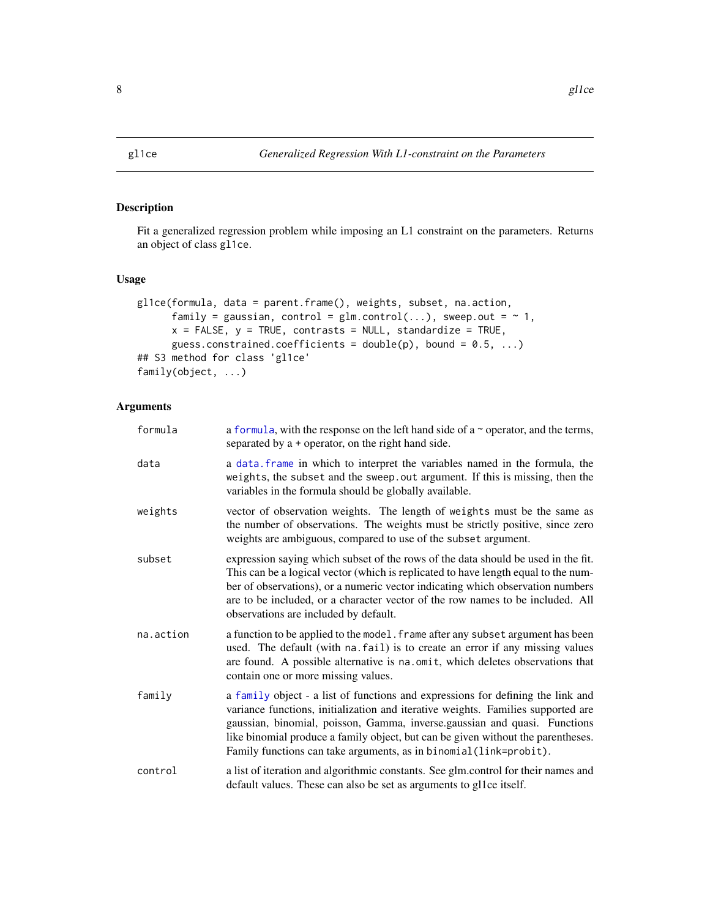<span id="page-7-1"></span><span id="page-7-0"></span>

Fit a generalized regression problem while imposing an L1 constraint on the parameters. Returns an object of class gl1ce.

## Usage

```
gl1ce(formula, data = parent.frame(), weights, subset, na.action,
      family = gaussian, control = glm.control(...), sweep.out = \sim 1,
      x = FALSE, y = TRUE, contrasts = NULL, standardize = TRUE,
      guess.constrained.coefficients = double(p), bound = 0.5, ...)
## S3 method for class 'gl1ce'
family(object, ...)
```

| formula   | a formula, with the response on the left hand side of a $\sim$ operator, and the terms,<br>separated by a + operator, on the right hand side.                                                                                                                                                                                                                                                              |
|-----------|------------------------------------------------------------------------------------------------------------------------------------------------------------------------------------------------------------------------------------------------------------------------------------------------------------------------------------------------------------------------------------------------------------|
| data      | a data. frame in which to interpret the variables named in the formula, the<br>weights, the subset and the sweep. out argument. If this is missing, then the<br>variables in the formula should be globally available.                                                                                                                                                                                     |
| weights   | vector of observation weights. The length of weights must be the same as<br>the number of observations. The weights must be strictly positive, since zero<br>weights are ambiguous, compared to use of the subset argument.                                                                                                                                                                                |
| subset    | expression saying which subset of the rows of the data should be used in the fit.<br>This can be a logical vector (which is replicated to have length equal to the num-<br>ber of observations), or a numeric vector indicating which observation numbers<br>are to be included, or a character vector of the row names to be included. All<br>observations are included by default.                       |
| na.action | a function to be applied to the model. frame after any subset argument has been<br>used. The default (with na. fail) is to create an error if any missing values<br>are found. A possible alternative is na.omit, which deletes observations that<br>contain one or more missing values.                                                                                                                   |
| family    | a family object - a list of functions and expressions for defining the link and<br>variance functions, initialization and iterative weights. Families supported are<br>gaussian, binomial, poisson, Gamma, inverse.gaussian and quasi. Functions<br>like binomial produce a family object, but can be given without the parentheses.<br>Family functions can take arguments, as in binomial (link=probit). |
| control   | a list of iteration and algorithmic constants. See glm.control for their names and<br>default values. These can also be set as arguments to gl1ce itself.                                                                                                                                                                                                                                                  |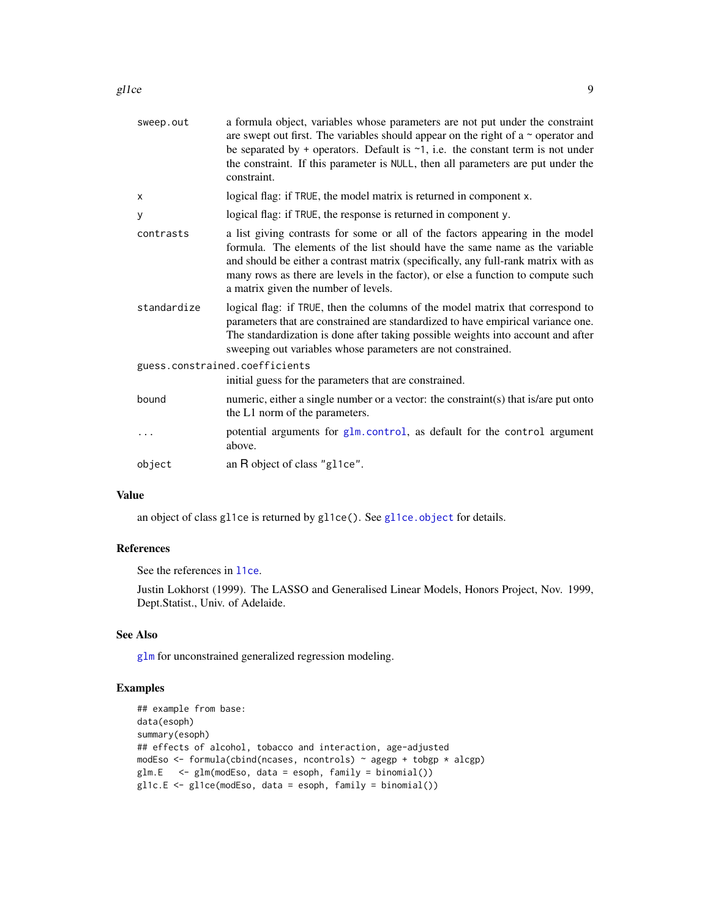<span id="page-8-0"></span>

| sweep.out   | a formula object, variables whose parameters are not put under the constraint<br>are swept out first. The variables should appear on the right of a $\sim$ operator and<br>be separated by + operators. Default is $\sim$ 1, i.e. the constant term is not under<br>the constraint. If this parameter is NULL, then all parameters are put under the<br>constraint.            |
|-------------|--------------------------------------------------------------------------------------------------------------------------------------------------------------------------------------------------------------------------------------------------------------------------------------------------------------------------------------------------------------------------------|
| X           | logical flag: if TRUE, the model matrix is returned in component x.                                                                                                                                                                                                                                                                                                            |
| У           | logical flag: if TRUE, the response is returned in component y.                                                                                                                                                                                                                                                                                                                |
| contrasts   | a list giving contrasts for some or all of the factors appearing in the model<br>formula. The elements of the list should have the same name as the variable<br>and should be either a contrast matrix (specifically, any full-rank matrix with as<br>many rows as there are levels in the factor), or else a function to compute such<br>a matrix given the number of levels. |
| standardize | logical flag: if TRUE, then the columns of the model matrix that correspond to<br>parameters that are constrained are standardized to have empirical variance one.<br>The standardization is done after taking possible weights into account and after<br>sweeping out variables whose parameters are not constrained.                                                         |
|             | guess.constrained.coefficients                                                                                                                                                                                                                                                                                                                                                 |
|             | initial guess for the parameters that are constrained.                                                                                                                                                                                                                                                                                                                         |
| bound       | numeric, either a single number or a vector: the constraint(s) that is/are put onto<br>the L1 norm of the parameters.                                                                                                                                                                                                                                                          |
|             | potential arguments for glm.control, as default for the control argument<br>above.                                                                                                                                                                                                                                                                                             |
| object      | an R object of class "g11ce".                                                                                                                                                                                                                                                                                                                                                  |
|             |                                                                                                                                                                                                                                                                                                                                                                                |

#### Value

an object of class gl1ce is returned by gl1ce(). See [gl1ce.object](#page-9-1) for details.

## References

See the references in [l1ce](#page-12-1).

Justin Lokhorst (1999). The LASSO and Generalised Linear Models, Honors Project, Nov. 1999, Dept.Statist., Univ. of Adelaide.

## See Also

[glm](#page-0-0) for unconstrained generalized regression modeling.

## Examples

```
## example from base:
data(esoph)
summary(esoph)
## effects of alcohol, tobacco and interaction, age-adjusted
modEso <- formula(cbind(ncases, ncontrols) ~ agegp + tobgp * alcgp)
glm.E <- glm(modEso, data = esoph, family = binomial())
gl1c.E \leq gl1ce(modEso, data = esoph, family = binomial())
```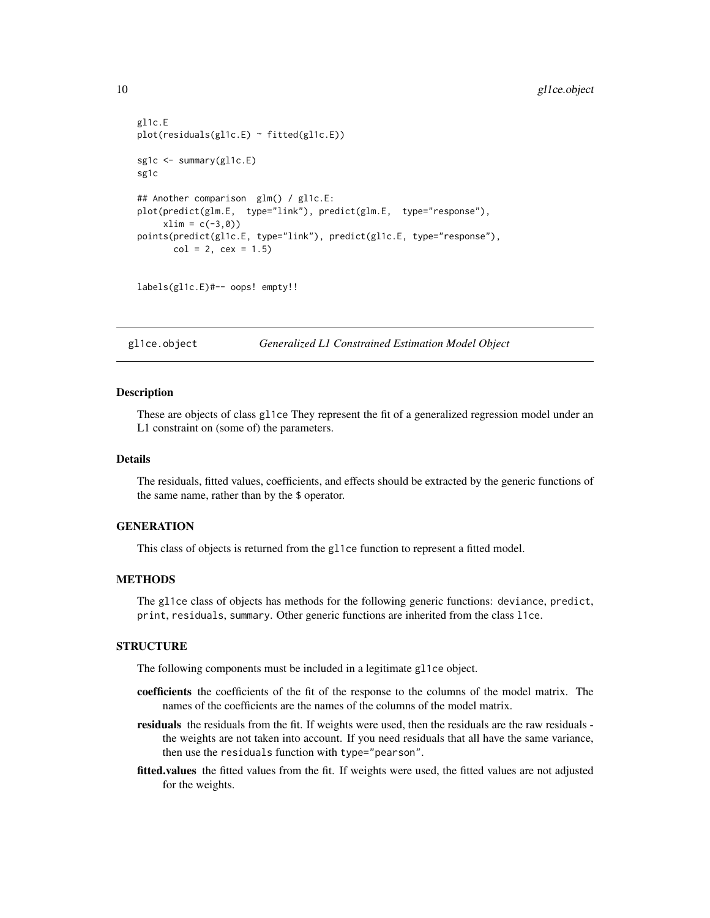```
gl1c.E
plot(residuals(gl1c.E) ~ fitted(gl1c.E))
sg1c <- summary(gl1c.E)
sg1c
## Another comparison glm() / gl1c.E:
plot(predict(glm.E, type="link"), predict(glm.E, type="response"),
     xlim = c(-3, 0)points(predict(gl1c.E, type="link"), predict(gl1c.E, type="response"),
      col = 2, cex = 1.5
```
labels(gl1c.E)#-- oops! empty!!

<span id="page-9-1"></span>gl1ce.object *Generalized L1 Constrained Estimation Model Object*

#### Description

These are objects of class gl1ce They represent the fit of a generalized regression model under an L1 constraint on (some of) the parameters.

## Details

The residuals, fitted values, coefficients, and effects should be extracted by the generic functions of the same name, rather than by the \$ operator.

## **GENERATION**

This class of objects is returned from the gl1ce function to represent a fitted model.

## **METHODS**

The gl1ce class of objects has methods for the following generic functions: deviance, predict, print, residuals, summary. Other generic functions are inherited from the class l1ce.

## **STRUCTURE**

The following components must be included in a legitimate gl1ce object.

- coefficients the coefficients of the fit of the response to the columns of the model matrix. The names of the coefficients are the names of the columns of the model matrix.
- residuals the residuals from the fit. If weights were used, then the residuals are the raw residuals the weights are not taken into account. If you need residuals that all have the same variance, then use the residuals function with type="pearson".
- fitted.values the fitted values from the fit. If weights were used, the fitted values are not adjusted for the weights.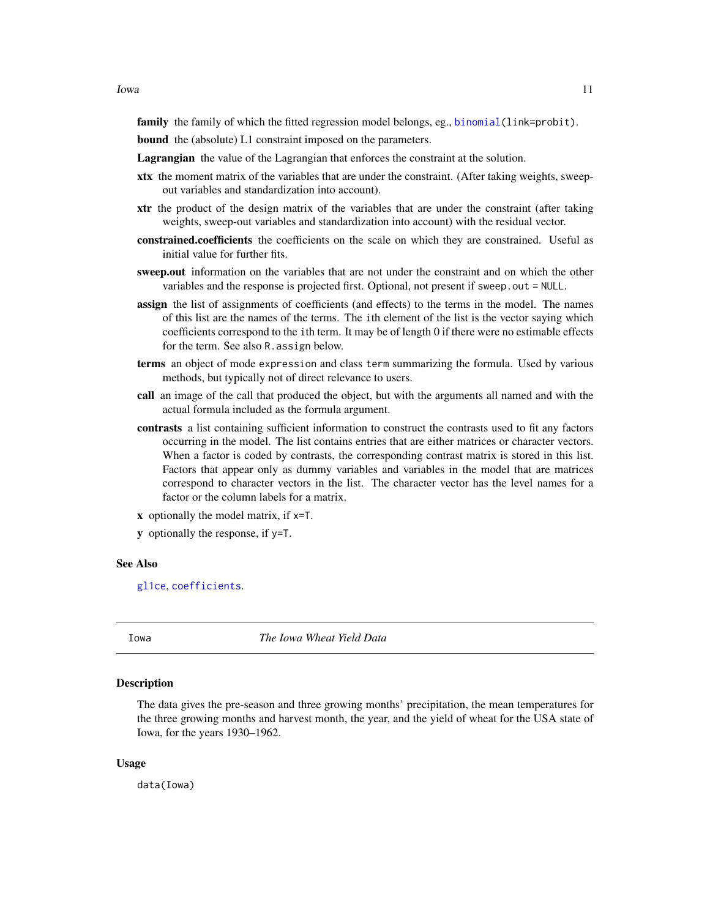<span id="page-10-0"></span>family the family of which the fitted regression model belongs, eg., binomial (link=probit).

bound the (absolute) L1 constraint imposed on the parameters.

Lagrangian the value of the Lagrangian that enforces the constraint at the solution.

- xtx the moment matrix of the variables that are under the constraint. (After taking weights, sweepout variables and standardization into account).
- xtr the product of the design matrix of the variables that are under the constraint (after taking weights, sweep-out variables and standardization into account) with the residual vector.
- constrained.coefficients the coefficients on the scale on which they are constrained. Useful as initial value for further fits.
- sweep.out information on the variables that are not under the constraint and on which the other variables and the response is projected first. Optional, not present if sweep.out = NULL.
- assign the list of assignments of coefficients (and effects) to the terms in the model. The names of this list are the names of the terms. The ith element of the list is the vector saying which coefficients correspond to the ith term. It may be of length 0 if there were no estimable effects for the term. See also R.assign below.
- terms an object of mode expression and class term summarizing the formula. Used by various methods, but typically not of direct relevance to users.
- call an image of the call that produced the object, but with the arguments all named and with the actual formula included as the formula argument.
- contrasts a list containing sufficient information to construct the contrasts used to fit any factors occurring in the model. The list contains entries that are either matrices or character vectors. When a factor is coded by contrasts, the corresponding contrast matrix is stored in this list. Factors that appear only as dummy variables and variables in the model that are matrices correspond to character vectors in the list. The character vector has the level names for a factor or the column labels for a matrix.
- x optionally the model matrix, if x=T.
- y optionally the response, if y=T.

#### See Also

[gl1ce](#page-7-1), [coefficients](#page-0-0).

Iowa *The Iowa Wheat Yield Data*

#### Description

The data gives the pre-season and three growing months' precipitation, the mean temperatures for the three growing months and harvest month, the year, and the yield of wheat for the USA state of Iowa, for the years 1930–1962.

#### Usage

data(Iowa)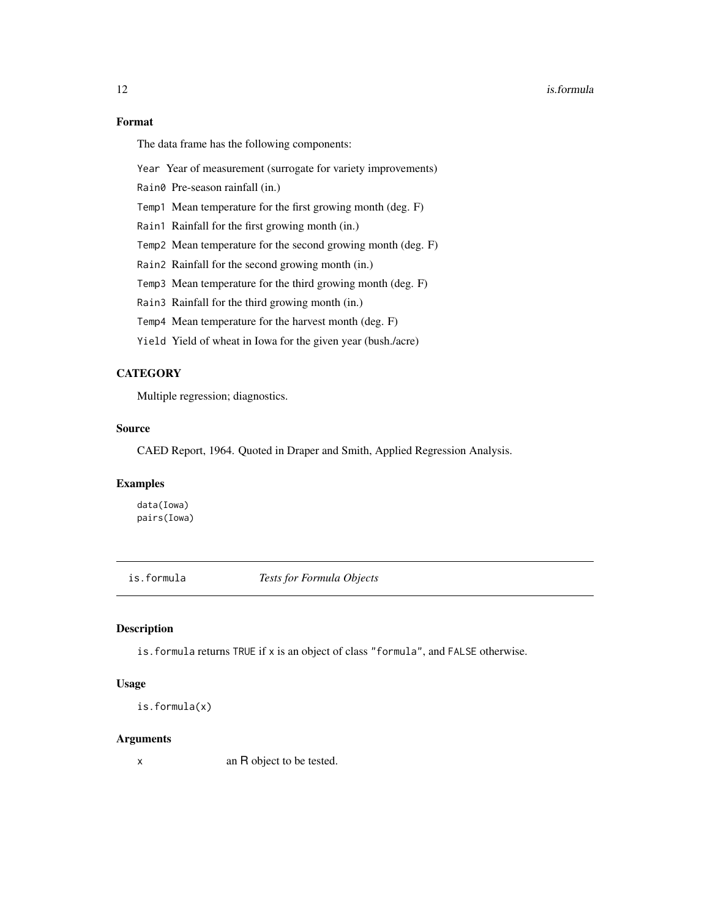#### <span id="page-11-0"></span>12 is.formula

## Format

The data frame has the following components:

Year Year of measurement (surrogate for variety improvements)

Rain0 Pre-season rainfall (in.)

Temp1 Mean temperature for the first growing month (deg. F)

Rain1 Rainfall for the first growing month (in.)

Temp2 Mean temperature for the second growing month (deg. F)

Rain2 Rainfall for the second growing month (in.)

Temp3 Mean temperature for the third growing month (deg. F)

Rain3 Rainfall for the third growing month (in.)

Temp4 Mean temperature for the harvest month (deg. F)

Yield Yield of wheat in Iowa for the given year (bush./acre)

## **CATEGORY**

Multiple regression; diagnostics.

#### Source

CAED Report, 1964. Quoted in Draper and Smith, Applied Regression Analysis.

#### Examples

data(Iowa) pairs(Iowa)

is.formula *Tests for Formula Objects*

#### Description

is.formula returns TRUE if x is an object of class "formula", and FALSE otherwise.

## Usage

```
is.formula(x)
```
## Arguments

x an R object to be tested.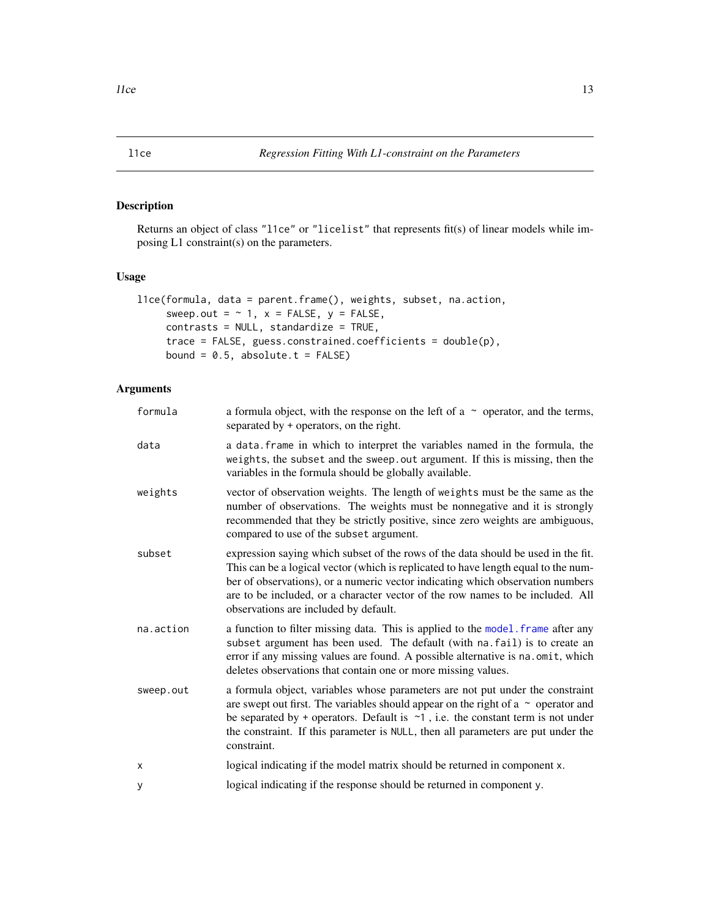Returns an object of class "l1ce" or "licelist" that represents fit(s) of linear models while imposing L1 constraint(s) on the parameters.

## Usage

```
l1ce(formula, data = parent.frame(), weights, subset, na.action,
     sweep.out = \sim 1, x = FALSE, y = FALSE,
     contrasts = NULL, standardize = TRUE,
     trace = FALSE, guess.constrained.coefficients = double(p),
     bound = 0.5, absolute.t = FALSE)
```

| formula   | a formula object, with the response on the left of a $\sim$ operator, and the terms,<br>separated by + operators, on the right.                                                                                                                                                                                                                                                      |
|-----------|--------------------------------------------------------------------------------------------------------------------------------------------------------------------------------------------------------------------------------------------------------------------------------------------------------------------------------------------------------------------------------------|
| data      | a data. frame in which to interpret the variables named in the formula, the<br>weights, the subset and the sweep. out argument. If this is missing, then the<br>variables in the formula should be globally available.                                                                                                                                                               |
| weights   | vector of observation weights. The length of weights must be the same as the<br>number of observations. The weights must be nonnegative and it is strongly<br>recommended that they be strictly positive, since zero weights are ambiguous,<br>compared to use of the subset argument.                                                                                               |
| subset    | expression saying which subset of the rows of the data should be used in the fit.<br>This can be a logical vector (which is replicated to have length equal to the num-<br>ber of observations), or a numeric vector indicating which observation numbers<br>are to be included, or a character vector of the row names to be included. All<br>observations are included by default. |
| na.action | a function to filter missing data. This is applied to the model. frame after any<br>subset argument has been used. The default (with na. fail) is to create an<br>error if any missing values are found. A possible alternative is na. omit, which<br>deletes observations that contain one or more missing values.                                                                  |
| sweep.out | a formula object, variables whose parameters are not put under the constraint<br>are swept out first. The variables should appear on the right of a $\sim$ operator and<br>be separated by + operators. Default is $\sim$ 1, i.e. the constant term is not under<br>the constraint. If this parameter is NULL, then all parameters are put under the<br>constraint.                  |
| х         | logical indicating if the model matrix should be returned in component x.                                                                                                                                                                                                                                                                                                            |
| у         | logical indicating if the response should be returned in component y.                                                                                                                                                                                                                                                                                                                |

<span id="page-12-1"></span><span id="page-12-0"></span>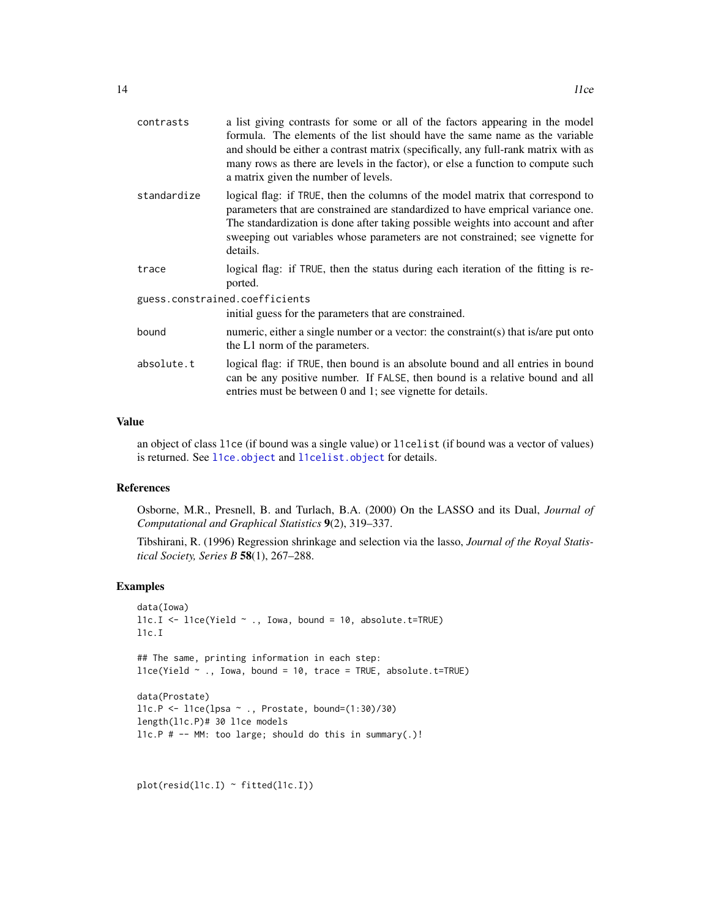<span id="page-13-0"></span>

| contrasts                      | a list giving contrasts for some or all of the factors appearing in the model<br>formula. The elements of the list should have the same name as the variable<br>and should be either a contrast matrix (specifically, any full-rank matrix with as<br>many rows as there are levels in the factor), or else a function to compute such<br>a matrix given the number of levels. |  |
|--------------------------------|--------------------------------------------------------------------------------------------------------------------------------------------------------------------------------------------------------------------------------------------------------------------------------------------------------------------------------------------------------------------------------|--|
| standardize                    | logical flag: if TRUE, then the columns of the model matrix that correspond to<br>parameters that are constrained are standardized to have emprical variance one.<br>The standardization is done after taking possible weights into account and after<br>sweeping out variables whose parameters are not constrained; see vignette for<br>details.                             |  |
| trace                          | logical flag: if TRUE, then the status during each iteration of the fitting is re-<br>ported.                                                                                                                                                                                                                                                                                  |  |
| guess.constrained.coefficients |                                                                                                                                                                                                                                                                                                                                                                                |  |
|                                | initial guess for the parameters that are constrained.                                                                                                                                                                                                                                                                                                                         |  |
| bound                          | numeric, either a single number or a vector: the constraint(s) that is/are put onto<br>the L1 norm of the parameters.                                                                                                                                                                                                                                                          |  |
| absolute.t                     | logical flag: if TRUE, then bound is an absolute bound and all entries in bound<br>can be any positive number. If FALSE, then bound is a relative bound and all<br>entries must be between 0 and 1; see vignette for details.                                                                                                                                                  |  |

## Value

an object of class l1ce (if bound was a single value) or l1celist (if bound was a vector of values) is returned. See [l1ce.object](#page-14-1) and [l1celist.object](#page-15-1) for details.

## References

Osborne, M.R., Presnell, B. and Turlach, B.A. (2000) On the LASSO and its Dual, *Journal of Computational and Graphical Statistics* 9(2), 319–337.

Tibshirani, R. (1996) Regression shrinkage and selection via the lasso, *Journal of the Royal Statistical Society, Series B* 58(1), 267–288.

## Examples

```
data(Iowa)
l1c.I \leftarrow l1ce(Yield \sim ., Iowa, bound = 10, absolute.t=TRUE)l1c.I
## The same, printing information in each step:
l1ce(Yield ~ ., Iowa, bound = 10, trace = TRUE, absolute.t=TRUE)data(Prostate)
l1c.P \leftarrow l1ce(lpsa \sim ., Prostate, bound=(1:30)/30)length(l1c.P)# 30 l1ce models
l1c.P # -- MM: too large; should do this in summary(.)!
```
 $plot(resid(11c.I) ~$ fitted( $11c.I$ ))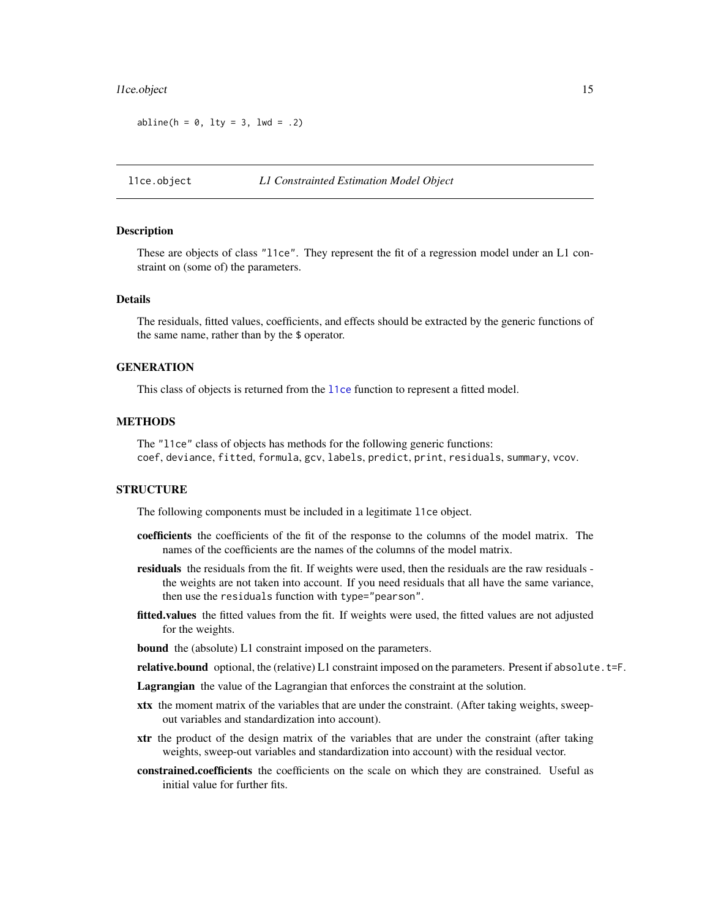#### <span id="page-14-0"></span>let the object that the contract of the contract of the contract of the contract of the contract of the contract of the contract of the contract of the contract of the contract of the contract of the contract of the contra

 $abline(h = 0, 1ty = 3, 1wd = .2)$ 

<span id="page-14-1"></span>l1ce.object *L1 Constrainted Estimation Model Object*

#### Description

These are objects of class "l1ce". They represent the fit of a regression model under an L1 constraint on (some of) the parameters.

#### Details

The residuals, fitted values, coefficients, and effects should be extracted by the generic functions of the same name, rather than by the \$ operator.

#### **GENERATION**

This class of objects is returned from the [l1ce](#page-12-1) function to represent a fitted model.

## **METHODS**

The "l1ce" class of objects has methods for the following generic functions: coef, deviance, fitted, formula, gcv, labels, predict, print, residuals, summary, vcov.

## **STRUCTURE**

The following components must be included in a legitimate l1ce object.

- coefficients the coefficients of the fit of the response to the columns of the model matrix. The names of the coefficients are the names of the columns of the model matrix.
- residuals the residuals from the fit. If weights were used, then the residuals are the raw residuals the weights are not taken into account. If you need residuals that all have the same variance, then use the residuals function with type="pearson".
- fitted.values the fitted values from the fit. If weights were used, the fitted values are not adjusted for the weights.

bound the (absolute) L1 constraint imposed on the parameters.

- relative.bound optional, the (relative) L1 constraint imposed on the parameters. Present if absolute.  $t = F$ .
- Lagrangian the value of the Lagrangian that enforces the constraint at the solution.
- xtx the moment matrix of the variables that are under the constraint. (After taking weights, sweepout variables and standardization into account).
- xtr the product of the design matrix of the variables that are under the constraint (after taking weights, sweep-out variables and standardization into account) with the residual vector.
- constrained.coefficients the coefficients on the scale on which they are constrained. Useful as initial value for further fits.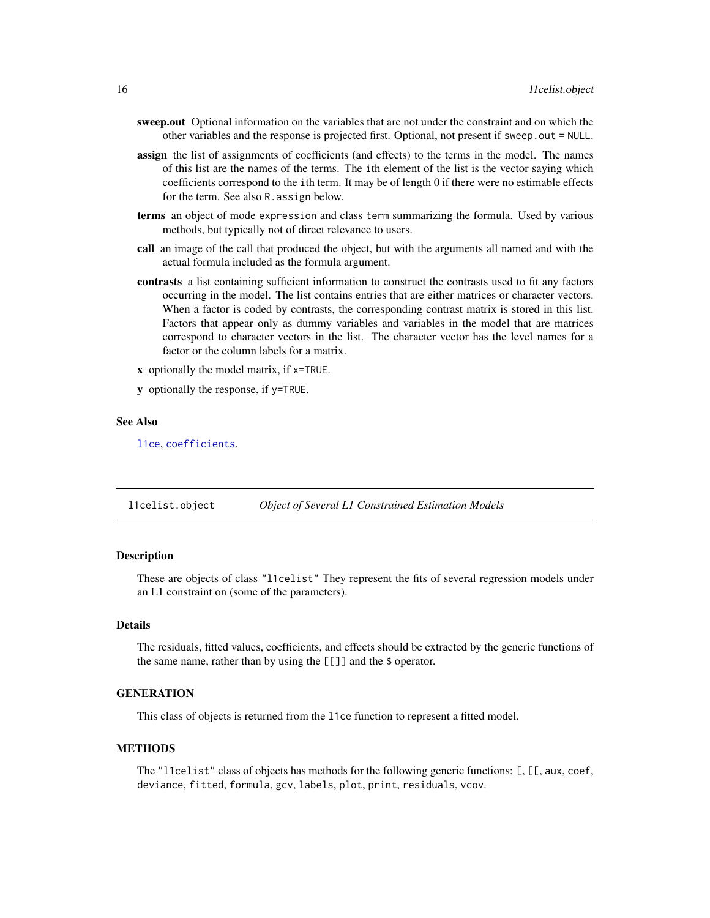- <span id="page-15-0"></span>sweep.out Optional information on the variables that are not under the constraint and on which the other variables and the response is projected first. Optional, not present if sweep.out = NULL.
- **assign** the list of assignments of coefficients (and effects) to the terms in the model. The names of this list are the names of the terms. The ith element of the list is the vector saying which coefficients correspond to the ith term. It may be of length 0 if there were no estimable effects for the term. See also R.assign below.
- terms an object of mode expression and class term summarizing the formula. Used by various methods, but typically not of direct relevance to users.
- call an image of the call that produced the object, but with the arguments all named and with the actual formula included as the formula argument.
- contrasts a list containing sufficient information to construct the contrasts used to fit any factors occurring in the model. The list contains entries that are either matrices or character vectors. When a factor is coded by contrasts, the corresponding contrast matrix is stored in this list. Factors that appear only as dummy variables and variables in the model that are matrices correspond to character vectors in the list. The character vector has the level names for a factor or the column labels for a matrix.
- x optionally the model matrix, if x=TRUE.
- y optionally the response, if y=TRUE.

#### See Also

[l1ce](#page-12-1), [coefficients](#page-0-0).

<span id="page-15-1"></span>l1celist.object *Object of Several L1 Constrained Estimation Models*

#### **Description**

These are objects of class "l1celist" They represent the fits of several regression models under an L1 constraint on (some of the parameters).

## Details

The residuals, fitted values, coefficients, and effects should be extracted by the generic functions of the same name, rather than by using the [[]] and the \$ operator.

#### **GENERATION**

This class of objects is returned from the l1ce function to represent a fitted model.

#### **METHODS**

The "localist" class of objects has methods for the following generic functions: [, [[, aux, coef, deviance, fitted, formula, gcv, labels, plot, print, residuals, vcov.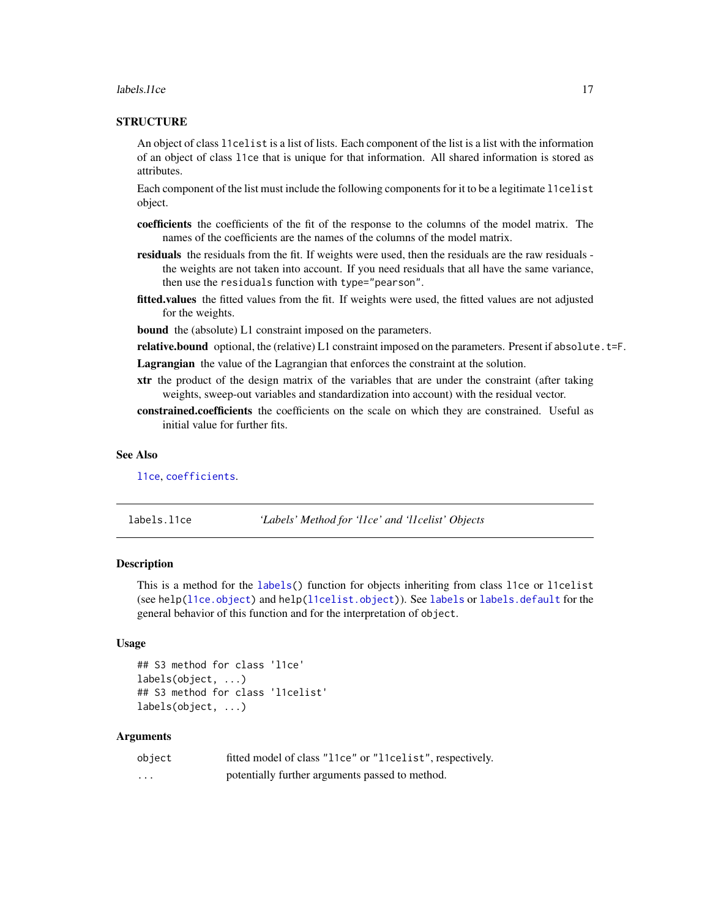#### <span id="page-16-0"></span>labels. Il ce qualitative and the set of the set of the set of the set of the set of the set of the set of the set of the set of the set of the set of the set of the set of the set of the set of the set of the set of the s

## **STRUCTURE**

An object of class l1celist is a list of lists. Each component of the list is a list with the information of an object of class l1ce that is unique for that information. All shared information is stored as attributes.

Each component of the list must include the following components for it to be a legitimate l1celist object.

- coefficients the coefficients of the fit of the response to the columns of the model matrix. The names of the coefficients are the names of the columns of the model matrix.
- residuals the residuals from the fit. If weights were used, then the residuals are the raw residuals the weights are not taken into account. If you need residuals that all have the same variance, then use the residuals function with type="pearson".
- fitted.values the fitted values from the fit. If weights were used, the fitted values are not adjusted for the weights.

bound the (absolute) L1 constraint imposed on the parameters.

relative.bound optional, the (relative) L1 constraint imposed on the parameters. Present if absolute.t=F.

Lagrangian the value of the Lagrangian that enforces the constraint at the solution.

- xtr the product of the design matrix of the variables that are under the constraint (after taking weights, sweep-out variables and standardization into account) with the residual vector.
- constrained.coefficients the coefficients on the scale on which they are constrained. Useful as initial value for further fits.

#### See Also

[l1ce](#page-12-1), [coefficients](#page-0-0).

labels.l1ce *'Labels' Method for 'l1ce' and 'l1celist' Objects*

#### Description

This is a method for the [labels\(](#page-0-0)) function for objects inheriting from class l1ce or l1celist (see help[\(l1ce.object\)](#page-14-1) and help[\(l1celist.object\)](#page-15-1)). See [labels](#page-0-0) or [labels.default](#page-0-0) for the general behavior of this function and for the interpretation of object.

#### Usage

```
## S3 method for class 'l1ce'
labels(object, ...)
## S3 method for class 'l1celist'
labels(object, ...)
```

| object | fitted model of class "11ce" or "11celist", respectively. |
|--------|-----------------------------------------------------------|
| .      | potentially further arguments passed to method.           |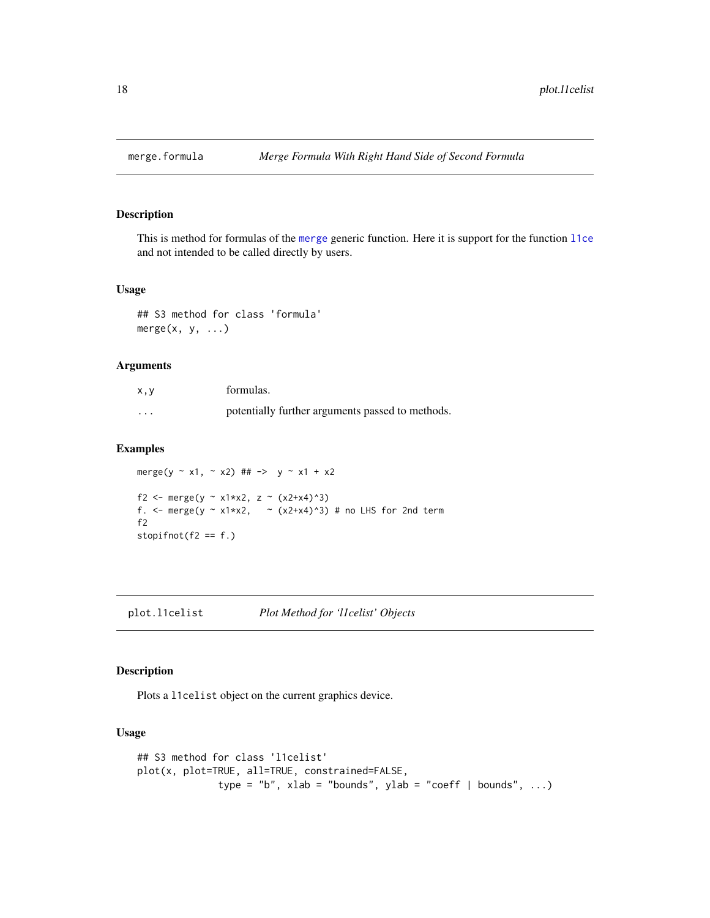<span id="page-17-0"></span>

This is method for formulas of the [merge](#page-0-0) generic function. Here it is support for the function [l1ce](#page-12-1) and not intended to be called directly by users.

#### Usage

## S3 method for class 'formula'  $merge(x, y, ...)$ 

## Arguments

| x, y    | formulas.                                        |
|---------|--------------------------------------------------|
| $\cdot$ | potentially further arguments passed to methods. |

#### Examples

merge(y ~ x1, ~ x2) ## -> y ~ x1 + x2 f2 <- merge(y ~ x1\*x2, z ~ (x2+x4)^3) f. <- merge(y  $\sim$  x1\*x2,  $\sim$  (x2+x4)^3) # no LHS for 2nd term f2 stopi $fnot(f2 == f.)$ 

plot.l1celist *Plot Method for 'l1celist' Objects*

## Description

Plots a l1celist object on the current graphics device.

## Usage

```
## S3 method for class 'l1celist'
plot(x, plot=TRUE, all=TRUE, constrained=FALSE,
              type = "b", xlab = "bounds", ylab = "coeff | bounds", ...)
```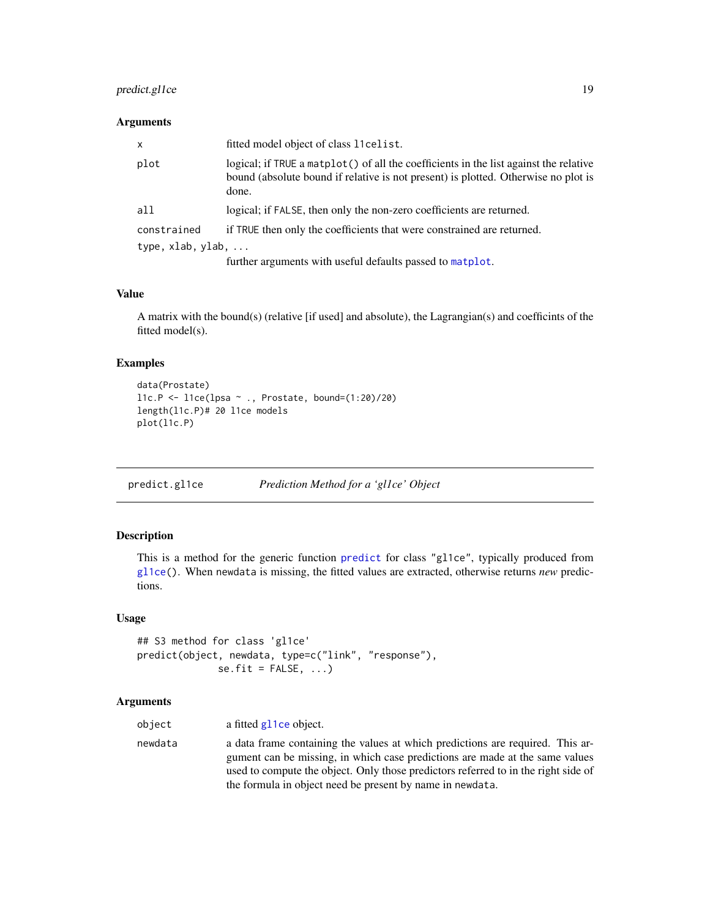## <span id="page-18-0"></span>predict.gl1ce 19

## Arguments

| X.                | fitted model object of class 11 celist.                                                                                                                                              |
|-------------------|--------------------------------------------------------------------------------------------------------------------------------------------------------------------------------------|
| plot              | logical; if TRUE a matplot() of all the coefficients in the list against the relative<br>bound (absolute bound if relative is not present) is plotted. Otherwise no plot is<br>done. |
| all               | logical; if FALSE, then only the non-zero coefficients are returned.                                                                                                                 |
| constrained       | if TRUE then only the coefficients that were constrained are returned.                                                                                                               |
| type, xlab, ylab, |                                                                                                                                                                                      |
|                   | further arguments with useful defaults passed to matplot.                                                                                                                            |

## Value

A matrix with the bound(s) (relative [if used] and absolute), the Lagrangian(s) and coefficints of the fitted model(s).

## Examples

```
data(Prostate)
l1c.P \leftarrow l1ce(lpsa \sim ., Prostate, bound=(1:20)/20)length(l1c.P)# 20 l1ce models
plot(l1c.P)
```
predict.gl1ce *Prediction Method for a 'gl1ce' Object*

## Description

This is a method for the generic function [predict](#page-0-0) for class "gl1ce", typically produced from [gl1ce\(](#page-7-1)). When newdata is missing, the fitted values are extracted, otherwise returns *new* predictions.

## Usage

```
## S3 method for class 'gl1ce'
predict(object, newdata, type=c("link", "response"),
             se.fit = FALSE, ...)
```

| object  | a fitted g11ce object.                                                                                                                                                                                                                                                                                            |
|---------|-------------------------------------------------------------------------------------------------------------------------------------------------------------------------------------------------------------------------------------------------------------------------------------------------------------------|
| newdata | a data frame containing the values at which predictions are required. This ar-<br>gument can be missing, in which case predictions are made at the same values<br>used to compute the object. Only those predictors referred to in the right side of<br>the formula in object need be present by name in newdata. |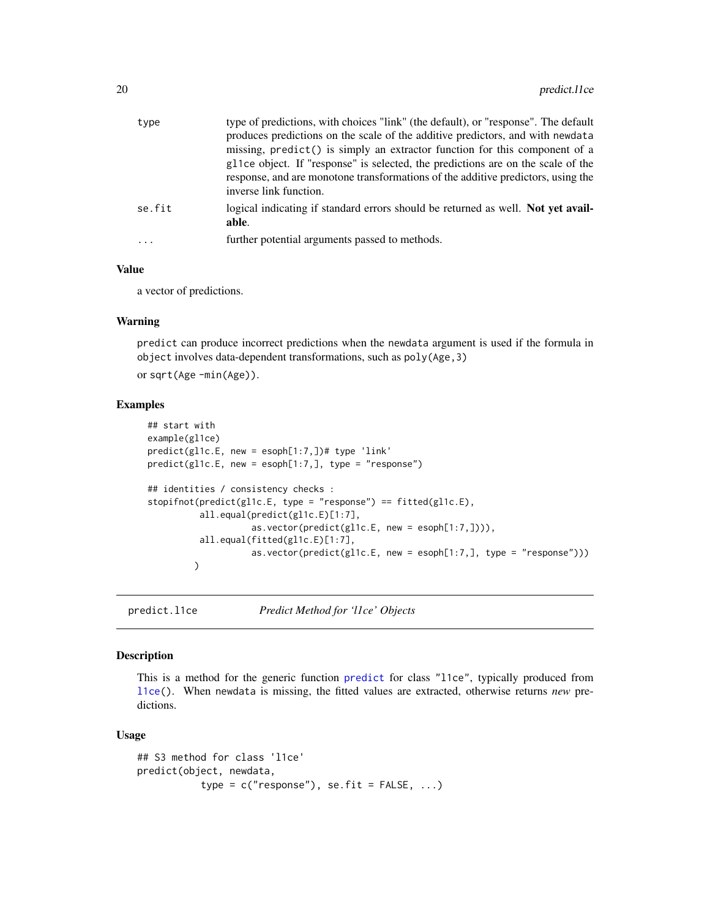<span id="page-19-0"></span>

| type   | type of predictions, with choices "link" (the default), or "response". The default                                                                                                             |
|--------|------------------------------------------------------------------------------------------------------------------------------------------------------------------------------------------------|
|        | produces predictions on the scale of the additive predictors, and with newdata                                                                                                                 |
|        | missing, predict() is simply an extractor function for this component of a                                                                                                                     |
|        | gl1ce object. If "response" is selected, the predictions are on the scale of the<br>response, and are monotone transformations of the additive predictors, using the<br>inverse link function. |
| se.fit | logical indicating if standard errors should be returned as well. Not yet avail-<br>able.                                                                                                      |
| .      | further potential arguments passed to methods.                                                                                                                                                 |
|        |                                                                                                                                                                                                |

#### Value

a vector of predictions.

#### Warning

predict can produce incorrect predictions when the newdata argument is used if the formula in object involves data-dependent transformations, such as poly(Age,3)

or sqrt(Age -min(Age)).

#### Examples

```
## start with
example(gl1ce)
predict(gl1c.E, new = esoph[1:7,])# type 'link'
predict(gl1c.E, new = esoph[1:7,], type = "response")
## identities / consistency checks :
stopifnot(predict(gl1c.E, type = "response") == fitted(gl1c.E),
          all.equal(predict(gl1c.E)[1:7],
                   as.vector(predict(gl1c.E, new = esoph[1:7,]))),
          all.equal(fitted(gl1c.E)[1:7],
                    as.vector(predict(gl1c.E, new = esoph[1:7,], type = "response")))
         )
```
predict.l1ce *Predict Method for 'l1ce' Objects*

## Description

This is a method for the generic function [predict](#page-0-0) for class "l1ce", typically produced from [l1ce\(](#page-12-1)). When newdata is missing, the fitted values are extracted, otherwise returns *new* predictions.

#### Usage

```
## S3 method for class 'l1ce'
predict(object, newdata,
           type = c("response"), se.fit = FALSE, ...)
```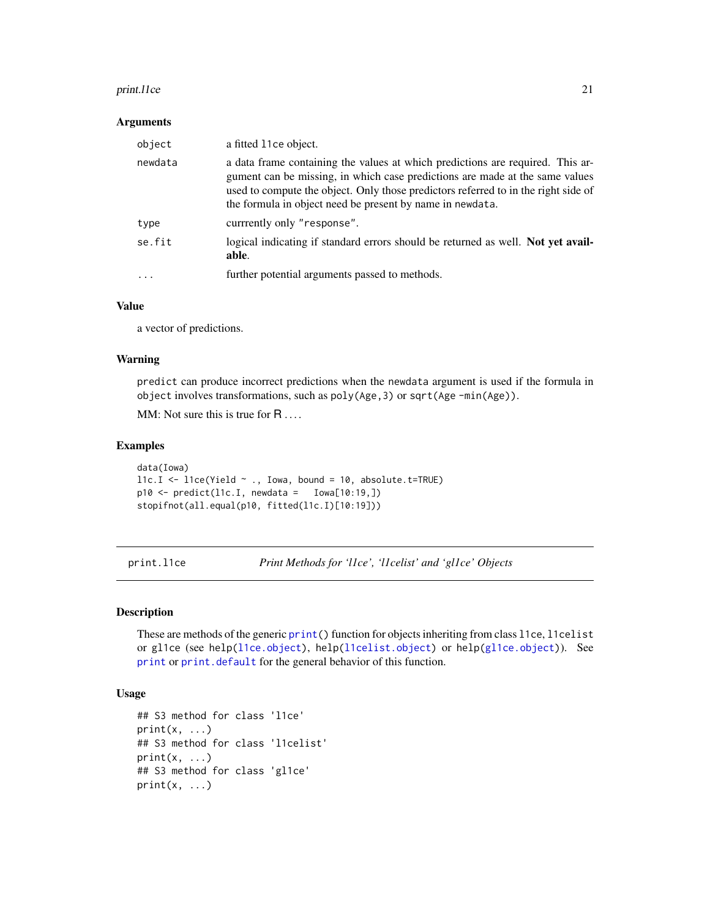#### <span id="page-20-0"></span>print.l1ce 21

#### **Arguments**

| object    | a fitted 11ce object.                                                                                                                                                                                                                                                                                             |
|-----------|-------------------------------------------------------------------------------------------------------------------------------------------------------------------------------------------------------------------------------------------------------------------------------------------------------------------|
| newdata   | a data frame containing the values at which predictions are required. This ar-<br>gument can be missing, in which case predictions are made at the same values<br>used to compute the object. Only those predictors referred to in the right side of<br>the formula in object need be present by name in newdata. |
| type      | currrently only "response".                                                                                                                                                                                                                                                                                       |
| se.fit    | logical indicating if standard errors should be returned as well. Not yet avail-<br>able.                                                                                                                                                                                                                         |
| $\ddotsc$ | further potential arguments passed to methods.                                                                                                                                                                                                                                                                    |

## Value

a vector of predictions.

#### Warning

predict can produce incorrect predictions when the newdata argument is used if the formula in object involves transformations, such as poly(Age,3) or sqrt(Age -min(Age)).

MM: Not sure this is true for R ....

## Examples

```
data(Iowa)
l1c.I \leftarrow l1ce(Yield \sim ., Iowa, bound = 10, absolute.t=TRUE)p10 \leq predict(11c.I, newdata = Iowa[10:19,])stopifnot(all.equal(p10, fitted(l1c.I)[10:19]))
```
print.l1ce *Print Methods for 'l1ce', 'l1celist' and 'gl1ce' Objects*

## Description

These are methods of the generic [print\(](#page-0-0)) function for objects inheriting from class l1ce, l1celist or gl1ce (see help[\(l1ce.object\)](#page-14-1), help[\(l1celist.object\)](#page-15-1) or help[\(gl1ce.object\)](#page-9-1)). See [print](#page-0-0) or [print.default](#page-0-0) for the general behavior of this function.

#### Usage

```
## S3 method for class 'l1ce'
print(x, \ldots)## S3 method for class 'l1celist'
print(x, \ldots)## S3 method for class 'gl1ce'
print(x, \ldots)
```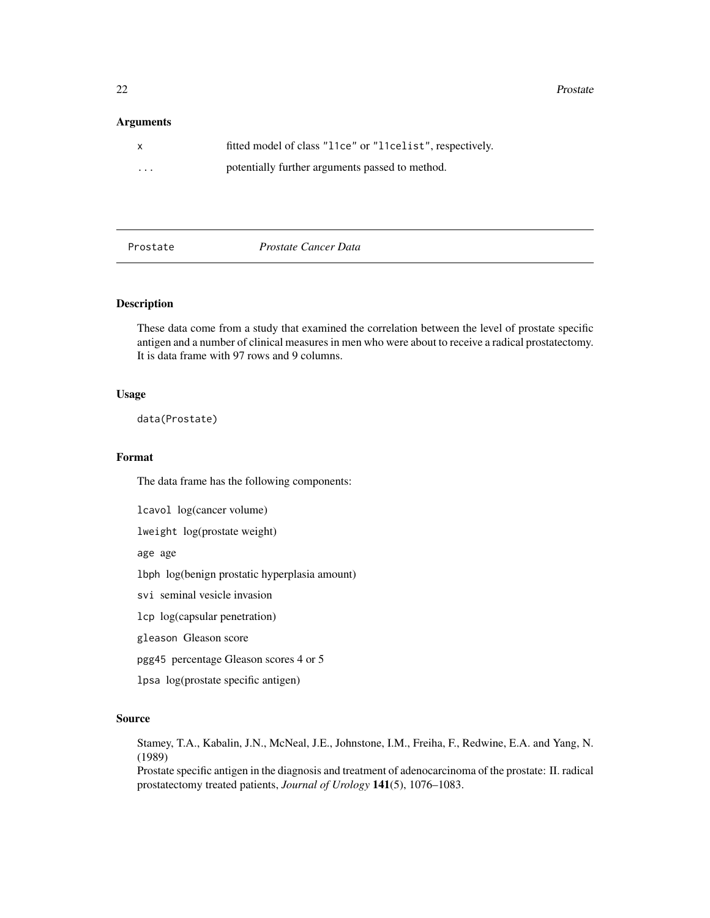#### <span id="page-21-0"></span>Arguments

| $\mathsf{X}$      | fitted model of class "11ce" or "11celist", respectively. |
|-------------------|-----------------------------------------------------------|
| $\cdot\cdot\cdot$ | potentially further arguments passed to method.           |

## Prostate *Prostate Cancer Data*

## Description

These data come from a study that examined the correlation between the level of prostate specific antigen and a number of clinical measures in men who were about to receive a radical prostatectomy. It is data frame with 97 rows and 9 columns.

## Usage

data(Prostate)

#### Format

The data frame has the following components:

lcavol log(cancer volume)

lweight log(prostate weight)

age age

lbph log(benign prostatic hyperplasia amount)

svi seminal vesicle invasion

lcp log(capsular penetration)

gleason Gleason score

pgg45 percentage Gleason scores 4 or 5

lpsa log(prostate specific antigen)

#### Source

Stamey, T.A., Kabalin, J.N., McNeal, J.E., Johnstone, I.M., Freiha, F., Redwine, E.A. and Yang, N. (1989)

Prostate specific antigen in the diagnosis and treatment of adenocarcinoma of the prostate: II. radical prostatectomy treated patients, *Journal of Urology* 141(5), 1076–1083.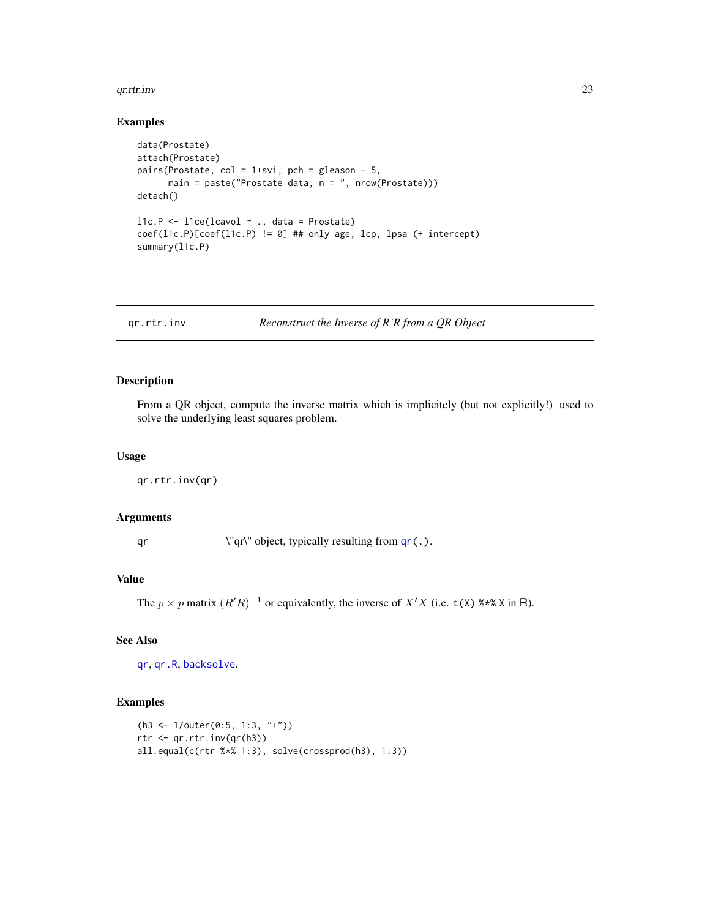#### <span id="page-22-0"></span>qr.rtr.inv 23

#### Examples

```
data(Prostate)
attach(Prostate)
pairs(Prostate, col = 1+svi, pch = gleason - 5,
      main = paste("Prostate data, n = ", nrow(Prostate)))
detach()
l1c.P <- l1ce(lcavol ~ ., data = Prostate)
coef(l1c.P)[coef(l1c.P) != 0] ## only age, lcp, lpsa (+ intercept)
summary(l1c.P)
```
qr.rtr.inv *Reconstruct the Inverse of R'R from a QR Object*

## Description

From a QR object, compute the inverse matrix which is implicitely (but not explicitly!) used to solve the underlying least squares problem.

#### Usage

qr.rtr.inv(qr)

## Arguments

qr \"qr\" object, typically resulting from [qr\(](#page-0-0).).

## Value

The  $p \times p$  matrix  $(R'R)^{-1}$  or equivalently, the inverse of  $X'X$  (i.e.  $t(X)$  %\*% X in R).

## See Also

[qr](#page-0-0), [qr.R](#page-0-0), [backsolve](#page-0-0).

## Examples

```
(h3 <- 1/outer(0:5, 1:3, "+"))
rtr <- qr.rtr.inv(qr(h3))
all.equal(c(rtr %*% 1:3), solve(crossprod(h3), 1:3))
```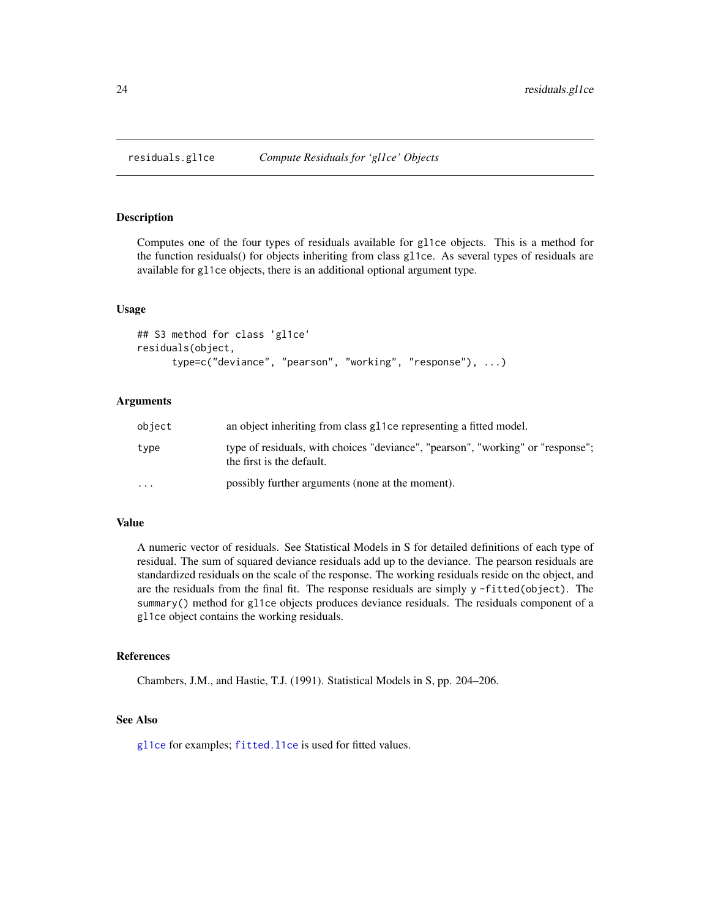<span id="page-23-0"></span>

Computes one of the four types of residuals available for gl1ce objects. This is a method for the function residuals() for objects inheriting from class gl1ce. As several types of residuals are available for gl1ce objects, there is an additional optional argument type.

#### Usage

```
## S3 method for class 'gl1ce'
residuals(object,
      type=c("deviance", "pearson", "working", "response"), ...)
```
## Arguments

| object   | an object inheriting from class g11ce representing a fitted model.                                           |
|----------|--------------------------------------------------------------------------------------------------------------|
| type     | type of residuals, with choices "deviance", "pearson", "working" or "response";<br>the first is the default. |
| $\cdots$ | possibly further arguments (none at the moment).                                                             |

## Value

A numeric vector of residuals. See Statistical Models in S for detailed definitions of each type of residual. The sum of squared deviance residuals add up to the deviance. The pearson residuals are standardized residuals on the scale of the response. The working residuals reside on the object, and are the residuals from the final fit. The response residuals are simply y -fitted(object). The summary() method for gl1ce objects produces deviance residuals. The residuals component of a gl1ce object contains the working residuals.

## References

Chambers, J.M., and Hastie, T.J. (1991). Statistical Models in S, pp. 204–206.

## See Also

[gl1ce](#page-7-1) for examples; [fitted.l1ce](#page-5-2) is used for fitted values.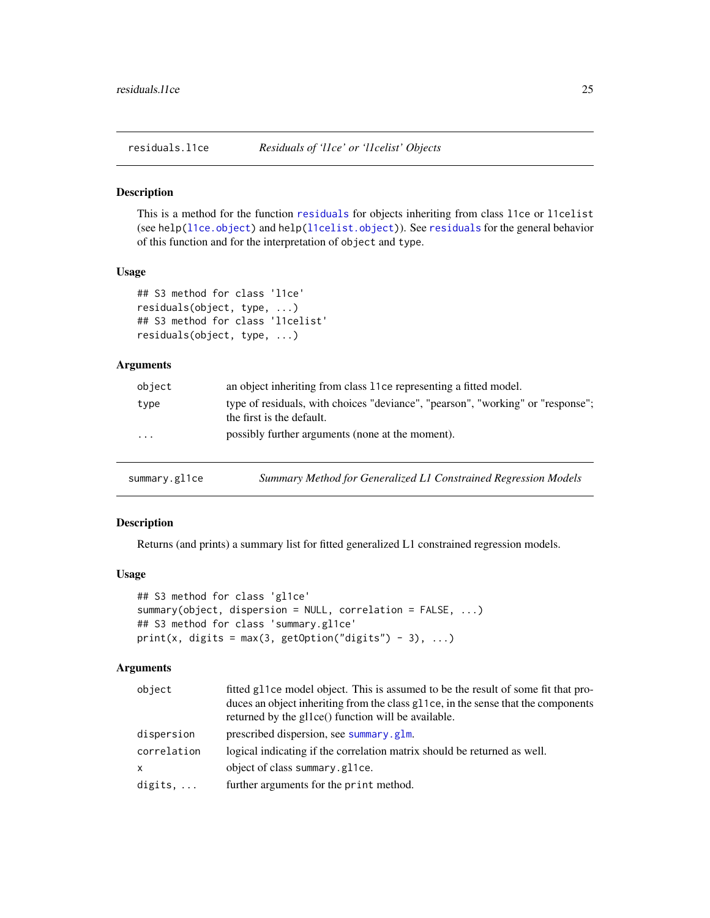<span id="page-24-0"></span>

This is a method for the function [residuals](#page-0-0) for objects inheriting from class l1ce or l1celist (see help[\(l1ce.object\)](#page-14-1) and help[\(l1celist.object\)](#page-15-1)). See [residuals](#page-0-0) for the general behavior of this function and for the interpretation of object and type.

#### Usage

```
## S3 method for class 'l1ce'
residuals(object, type, ...)
## S3 method for class 'l1celist'
residuals(object, type, ...)
```
## Arguments

| object   | an object inheriting from class 11ce representing a fitted model.                                            |
|----------|--------------------------------------------------------------------------------------------------------------|
| type     | type of residuals, with choices "deviance", "pearson", "working" or "response";<br>the first is the default. |
| $\cdots$ | possibly further arguments (none at the moment).                                                             |

| summary.gl1ce | Summary Method for Generalized L1 Constrained Regression Models |  |
|---------------|-----------------------------------------------------------------|--|
|---------------|-----------------------------------------------------------------|--|

## Description

Returns (and prints) a summary list for fitted generalized L1 constrained regression models.

## Usage

```
## S3 method for class 'gl1ce'
summary(object, dispersion = NULL, correlation = FALSE, ...)
## S3 method for class 'summary.gl1ce'
print(x, digits = max(3, getOption("digits") - 3), ...)
```

| object           | fitted g11ce model object. This is assumed to be the result of some fit that pro-<br>duces an object inheriting from the class gl 1 ce, in the sense that the components<br>returned by the glore() function will be available. |
|------------------|---------------------------------------------------------------------------------------------------------------------------------------------------------------------------------------------------------------------------------|
| dispersion       | prescribed dispersion, see summary . glm.                                                                                                                                                                                       |
| correlation      | logical indicating if the correlation matrix should be returned as well.                                                                                                                                                        |
| x                | object of class summary.gl1ce.                                                                                                                                                                                                  |
| digits, $\ldots$ | further arguments for the print method.                                                                                                                                                                                         |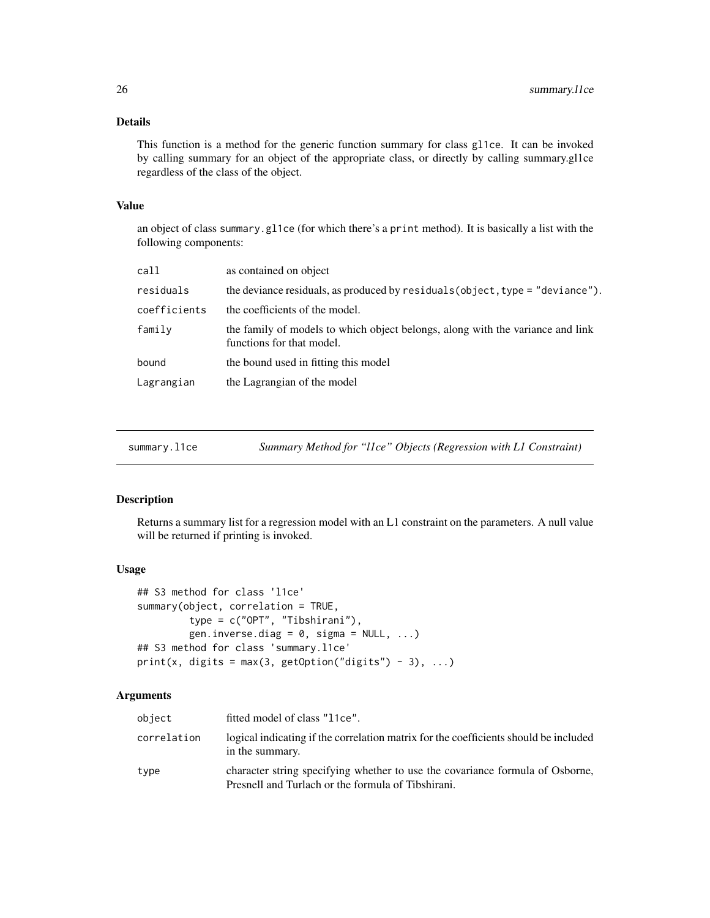## <span id="page-25-0"></span>Details

This function is a method for the generic function summary for class gl1ce. It can be invoked by calling summary for an object of the appropriate class, or directly by calling summary.gl1ce regardless of the class of the object.

### Value

an object of class summary.gl1ce (for which there's a print method). It is basically a list with the following components:

| call         | as contained on object                                                                                      |
|--------------|-------------------------------------------------------------------------------------------------------------|
| residuals    | the deviance residuals, as produced by $residuals(object, type = "deviance").$                              |
| coefficients | the coefficients of the model.                                                                              |
| family       | the family of models to which object belongs, along with the variance and link<br>functions for that model. |
| bound        | the bound used in fitting this model                                                                        |
| Lagrangian   | the Lagrangian of the model                                                                                 |
|              |                                                                                                             |

| summarv.l1ce |  |
|--------------|--|
|              |  |

summary.l1ce *Summary Method for "l1ce" Objects (Regression with L1 Constraint)*

#### Description

Returns a summary list for a regression model with an L1 constraint on the parameters. A null value will be returned if printing is invoked.

#### Usage

```
## S3 method for class 'l1ce'
summary(object, correlation = TRUE,
         type = c("OPT", "Tibshirani"),
         gen.inverse.diag = 0, sigma = NULL, ...)
## S3 method for class 'summary.l1ce'
print(x, digits = max(3, getOption("digits") - 3), ...)
```

| object      | fitted model of class "11ce".                                                                                                       |
|-------------|-------------------------------------------------------------------------------------------------------------------------------------|
| correlation | logical indicating if the correlation matrix for the coefficients should be included<br>in the summary.                             |
| type        | character string specifying whether to use the covariance formula of Osborne,<br>Presnell and Turlach or the formula of Tibshirani. |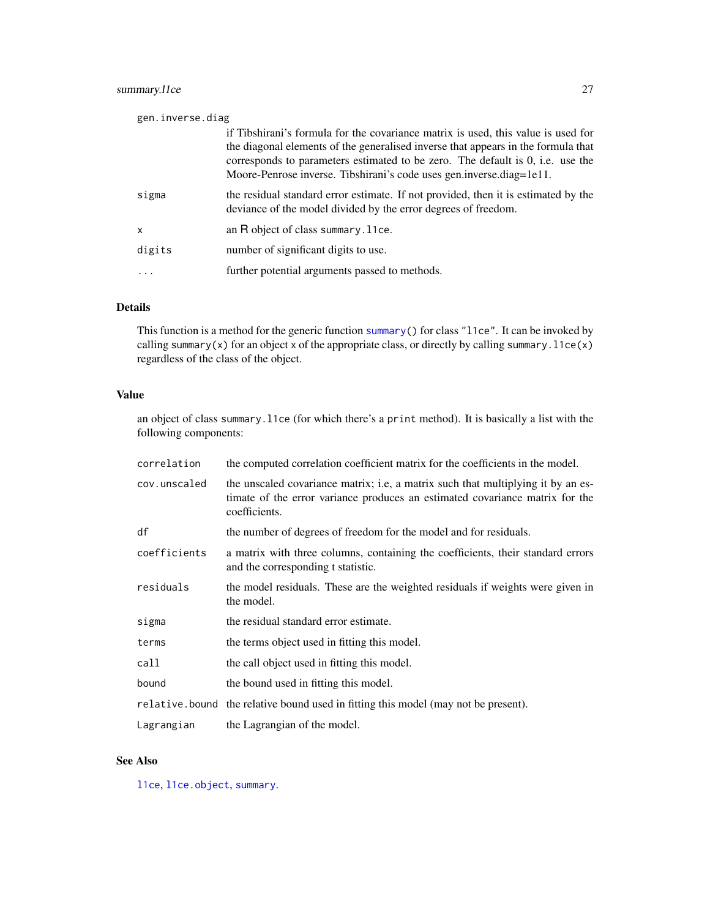## <span id="page-26-0"></span>summary.l1ce 27

| gen.inverse.diag |                                                                                                                                                                     |  |
|------------------|---------------------------------------------------------------------------------------------------------------------------------------------------------------------|--|
|                  | if Tibshirani's formula for the covariance matrix is used, this value is used for                                                                                   |  |
|                  | the diagonal elements of the generalised inverse that appears in the formula that<br>corresponds to parameters estimated to be zero. The default is 0, i.e. use the |  |
|                  | Moore-Penrose inverse. Tibshirani's code uses gen.inverse.diag=1e11.                                                                                                |  |
| sigma            | the residual standard error estimate. If not provided, then it is estimated by the<br>deviance of the model divided by the error degrees of freedom.                |  |
| X                | an R object of class summary. 11ce.                                                                                                                                 |  |
| digits           | number of significant digits to use.                                                                                                                                |  |
| .                | further potential arguments passed to methods.                                                                                                                      |  |

## Details

This function is a method for the generic function [summary\(](#page-0-0)) for class "l1ce". It can be invoked by calling summary(x) for an object x of the appropriate class, or directly by calling summary.  $11ce(x)$ regardless of the class of the object.

## Value

an object of class summary.l1ce (for which there's a print method). It is basically a list with the following components:

| correlation  | the computed correlation coefficient matrix for the coefficients in the model.                                                                                                    |
|--------------|-----------------------------------------------------------------------------------------------------------------------------------------------------------------------------------|
| cov.unscaled | the unscaled covariance matrix; i.e, a matrix such that multiplying it by an es-<br>timate of the error variance produces an estimated covariance matrix for the<br>coefficients. |
| df           | the number of degrees of freedom for the model and for residuals.                                                                                                                 |
| coefficients | a matrix with three columns, containing the coefficients, their standard errors<br>and the corresponding t statistic.                                                             |
| residuals    | the model residuals. These are the weighted residuals if weights were given in<br>the model.                                                                                      |
| sigma        | the residual standard error estimate.                                                                                                                                             |
| terms        | the terms object used in fitting this model.                                                                                                                                      |
| call         | the call object used in fitting this model.                                                                                                                                       |
| bound        | the bound used in fitting this model.                                                                                                                                             |
|              | relative bound the relative bound used in fitting this model (may not be present).                                                                                                |
| Lagrangian   | the Lagrangian of the model.                                                                                                                                                      |

## See Also

[l1ce](#page-12-1), [l1ce.object](#page-14-1), [summary](#page-0-0).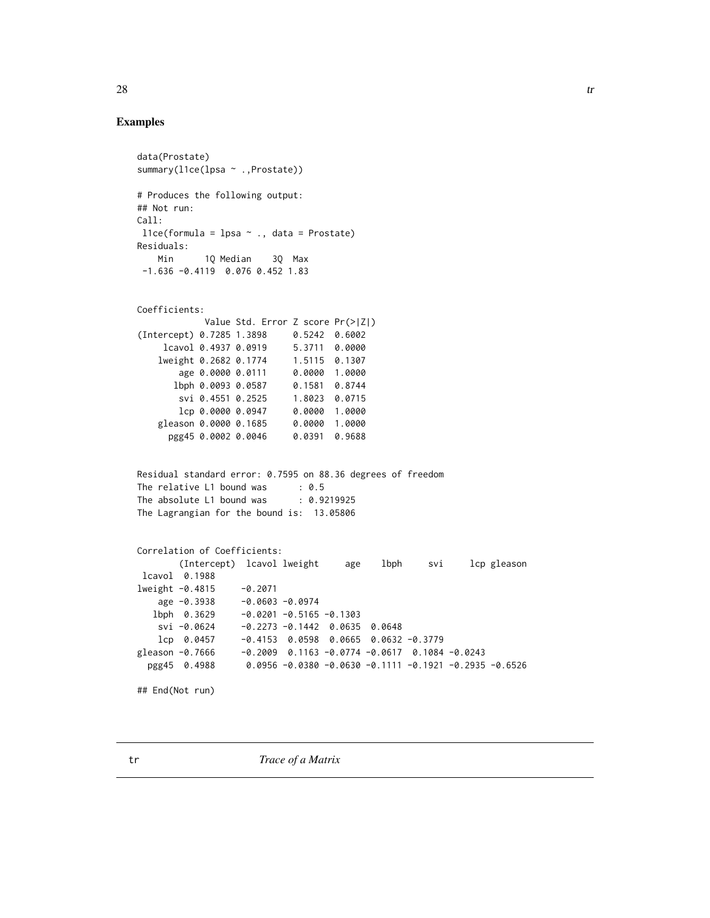#### Examples

```
data(Prostate)
summary(l1ce(lpsa ~ ., Prostate))
# Produces the following output:
## Not run:
Call:
l1ce(formula = lpsa ~ ., data = Prostate)
Residuals:
   Min 1Q Median 3Q Max
-1.636 -0.4119 0.076 0.452 1.83
Coefficients:
           Value Std. Error Z score Pr(>|Z|)
(Intercept) 0.7285 1.3898 0.5242 0.6002
    lcavol 0.4937 0.0919 5.3711 0.0000
   lweight 0.2682 0.1774 1.5115 0.1307
       age 0.0000 0.0111 0.0000 1.0000
      lbph 0.0093 0.0587 0.1581 0.8744
       svi 0.4551 0.2525 1.8023 0.0715
       lcp 0.0000 0.0947 0.0000 1.0000
   gleason 0.0000 0.1685 0.0000 1.0000
     pgg45 0.0002 0.0046 0.0391 0.9688
Residual standard error: 0.7595 on 88.36 degrees of freedom
The relative L1 bound was : 0.5
The absolute L1 bound was : 0.9219925
The Lagrangian for the bound is: 13.05806
Correlation of Coefficients:
       (Intercept) lcavol lweight age lbph svi lcp gleason
lcavol 0.1988
lweight -0.4815 -0.2071
   age -0.3938 -0.0603 -0.0974
  lbph 0.3629 -0.0201 -0.5165 -0.1303
   svi -0.0624 -0.2273 -0.1442 0.0635 0.0648
   lcp 0.0457 -0.4153 0.0598 0.0665 0.0632 -0.3779
gleason -0.7666 -0.2009 0.1163 -0.0774 -0.0617 0.1084 -0.0243
 pgg45 0.4988 0.0956 -0.0380 -0.0630 -0.1111 -0.1921 -0.2935 -0.6526
## End(Not run)
```
<span id="page-27-0"></span> $28$  transfer and  $\alpha$  transfer and  $\alpha$  transfer and  $\alpha$  transfer and  $\alpha$  transfer and  $\alpha$  transfer and  $\alpha$  transfer and  $\alpha$  transfer and  $\alpha$  transfer and  $\alpha$  transfer and  $\alpha$  transfer and  $\alpha$  transfer and  $\alpha$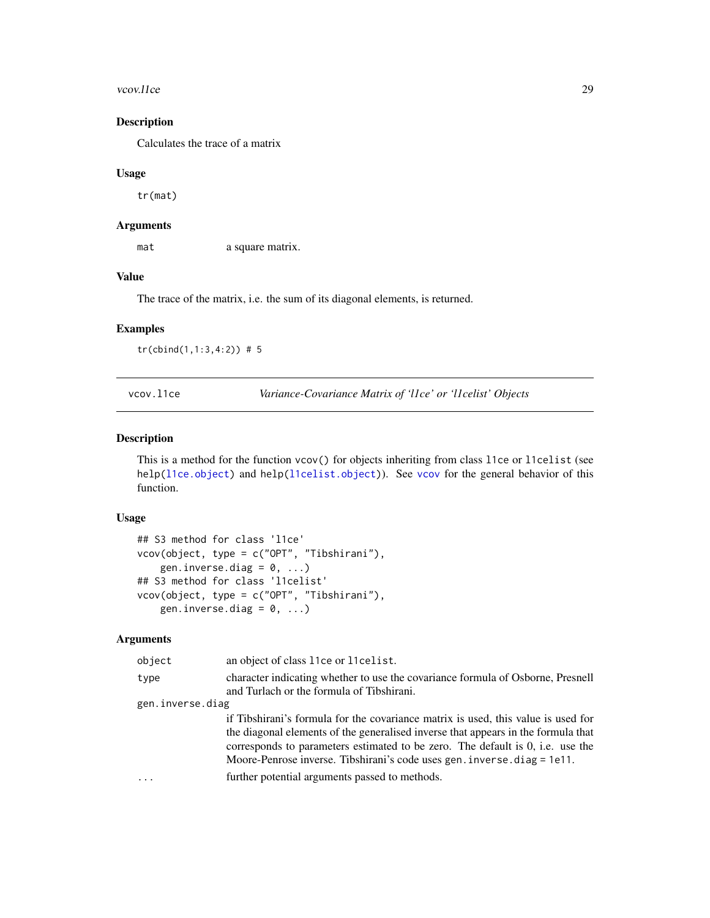#### <span id="page-28-0"></span>vcov.l1ce 29

## Description

Calculates the trace of a matrix

#### Usage

tr(mat)

## Arguments

mat a square matrix.

## Value

The trace of the matrix, i.e. the sum of its diagonal elements, is returned.

## Examples

tr(cbind(1,1:3,4:2)) # 5

vcov.l1ce *Variance-Covariance Matrix of 'l1ce' or 'l1celist' Objects*

## Description

This is a method for the function vcov() for objects inheriting from class l1ce or l1celist (see help[\(l1ce.object\)](#page-14-1) and help[\(l1celist.object\)](#page-15-1)). See [vcov](#page-0-0) for the general behavior of this function.

## Usage

```
## S3 method for class 'l1ce'
vcov(object, type = c("OPT", "Tibshirani"),
    gen.inverse.diag = 0, ...)
## S3 method for class 'l1celist'
vcov(object, type = c("OPT", "Tibshirani"),
   gen.inverse.diag = 0, ...)
```

| object           | an object of class 11ce or 11 celist.                                                                                                                                                                                                                                                                                                   |
|------------------|-----------------------------------------------------------------------------------------------------------------------------------------------------------------------------------------------------------------------------------------------------------------------------------------------------------------------------------------|
| type             | character indicating whether to use the covariance formula of Osborne, Presnell<br>and Turlach or the formula of Tibshirani.                                                                                                                                                                                                            |
| gen.inverse.diag |                                                                                                                                                                                                                                                                                                                                         |
|                  | if Tibshirani's formula for the covariance matrix is used, this value is used for<br>the diagonal elements of the generalised inverse that appears in the formula that<br>corresponds to parameters estimated to be zero. The default is 0, i.e. use the<br>Moore-Penrose inverse. Tibshirani's code uses gen. inverse. $diag = 1e11$ . |
| $\ddots$         | further potential arguments passed to methods.                                                                                                                                                                                                                                                                                          |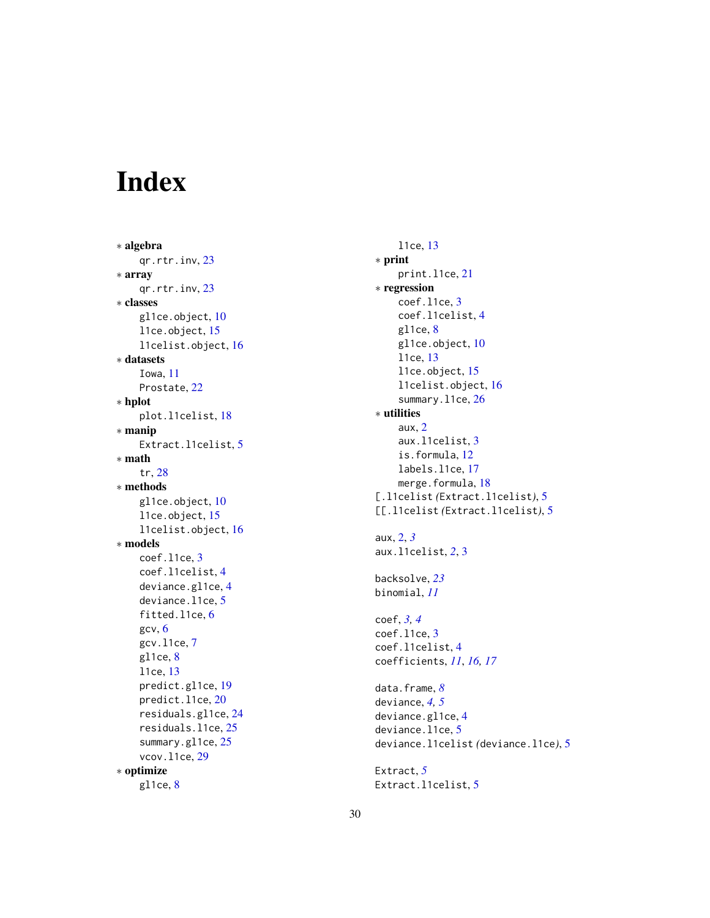# <span id="page-29-0"></span>Index

∗ algebra qr.rtr.inv , [23](#page-22-0) ∗ array qr.rtr.inv , [23](#page-22-0) ∗ classes gl1ce.object,[10](#page-9-0) l1ce.object , [15](#page-14-0) l1celist.object , [16](#page-15-0) ∗ datasets Iowa , [11](#page-10-0) Prostate, [22](#page-21-0) ∗ hplot plot.l1celist , [18](#page-17-0) ∗ manip Extract.l1celist , [5](#page-4-0) ∗ math tr , [28](#page-27-0) ∗ methods gl1ce.object, [10](#page-9-0) l1ce.object , [15](#page-14-0) l1celist.object , [16](#page-15-0) ∗ models coef.l1ce , [3](#page-2-0) coef.l1celist , [4](#page-3-0) deviance.gl1ce , [4](#page-3-0) deviance.l1ce, [5](#page-4-0) fitted.l1ce, [6](#page-5-0) gcv , [6](#page-5-0) gcv.l1ce , [7](#page-6-0) gl1ce, [8](#page-7-0) l1ce , [13](#page-12-0) predict.gl1ce , [19](#page-18-0) predict.l1ce , [20](#page-19-0) residuals.gl1ce , [24](#page-23-0) residuals.l1ce , [25](#page-24-0) summary.gl1ce, [25](#page-24-0) vcov.l1ce , [29](#page-28-0) ∗ optimize gl1ce , [8](#page-7-0)

```
l1ce
, 13
∗ print
    print.l1ce
, 21
∗ regression
    coef.l1ce
,
3
    coef.l1celist
,
4
    8</mark>
    10
    l1ce
, 13
    l1ce.object
, 15
    l1celist.object
, 16
    26
∗ utilities
    aux
,
2
    aux.l1celist
,
3
    is.formula
, 12
    labels.l1ce
, 17
    18</mark>
[.l1celist
(Extract.l1celist
)
,
5
[[.l1celist
(Extract.l1celist
)
,
5
aux
,
2
,
3
aux.l1celist
,
2
,
3
backsolve
, 23
binomial
, 11
coef
,
3
,
4
coef.l1ce
,
3
coef.l1celist
,
4
coefficients
, 11
, 16, 17
data.frame
,
8
deviance
,
4
,
5
deviance.gl1ce
,
4
5</mark>
deviance.l1celist
(deviance.l1ce
)
,
5
Extract
,
5
5
```